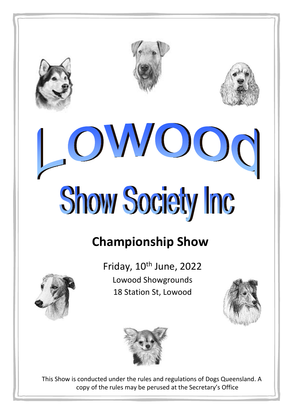







# **Championship Show**



Friday, 10<sup>th</sup> June, 2022 **Lowood Showgrounds** 18 Station St, Lowood





This Show is conducted under the rules and regulations of Dogs Queensland. A copy of the rules may be perused at the Secretary's Office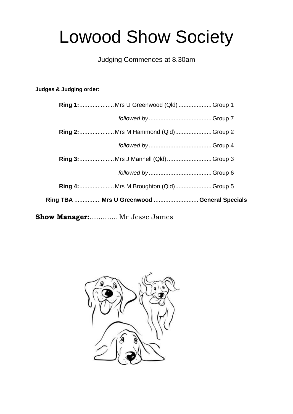# **Lowood Show Society**

# Judging Commences at 8.30am

# Judges & Judging order:

| Ring 1: Mrs U Greenwood (Qld)  Group 1      |  |
|---------------------------------------------|--|
|                                             |  |
| <b>Ring 2:</b> Mrs M Hammond (Qld) Group 2  |  |
|                                             |  |
| Ring 3:  Mrs J Mannell (Qld)  Group 3       |  |
|                                             |  |
| Ring 4:  Mrs M Broughton (Qld) Group 5      |  |
| Ring TBA  Mrs U Greenwood  General Specials |  |
| Show Manager: Mr Jesse James                |  |

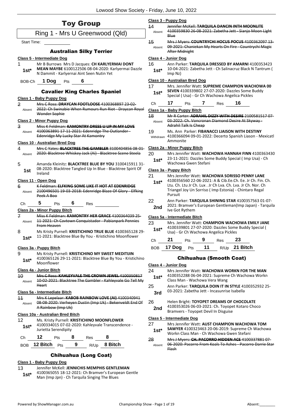|                          | <b>Toy Group</b>                                                                                                                        | 14              | Class 3 - Puppy Dog<br>Jennifer McKell: TARQUILA DANCIN INTH MOONLITE                                                                                |
|--------------------------|-----------------------------------------------------------------------------------------------------------------------------------------|-----------------|------------------------------------------------------------------------------------------------------------------------------------------------------|
|                          | Ring 1 - Mrs U Greenwood (Qld)                                                                                                          | Absent          | 4100359830 26-08-2021: Zabetha Jett - Sianjo Moon Light<br>Blue                                                                                      |
| <b>Start Time:</b>       |                                                                                                                                         | 15              | Mrs J Myers: COUNTRYCHI HOCUS POCUS 4100362097 13-                                                                                                   |
|                          | <b>Australian Silky Terrier</b>                                                                                                         | Absent          | 09 2021: Chaniekan My Hearts On Fire Countrychi Magie<br><b>After Midnight</b>                                                                       |
|                          | <b>Class 5 - Intermediate Dog</b>                                                                                                       |                 | Class 4 - Junior Dog                                                                                                                                 |
| 1                        | Mr B Burrows Mrs D Jacques: CH KARLYERMAI DONT                                                                                          | 16              | Ann Parker: TARQUILA DRESSED BY AMARNI 4100353423                                                                                                    |
| $1st*$                   | MEAN MAYBE 6100122506 08-04-2020: Karlyermai Dazzle<br>N Dammit - Karlyernai Aint Seen Nutin Yet                                        | $1st*$          | 10-04-2021: Zabetha Jett - Ch Salinacruz Black N Tantrum (<br>$Imp$ Nz $)$                                                                           |
| BOB-Ch                   | 1 Dog<br>6<br>Pts                                                                                                                       |                 | Class 10 - Australian Bred Dog                                                                                                                       |
|                          | <b>Cavalier King Charles Spaniel</b>                                                                                                    | 17<br>$1st*$    | Mrs. Jennifer Watt: SUPREME CHAMPION WACHOWA 00<br>SEVEN 4100339802 27-07-2020: Dazzles Some Buddy<br>Special (Usa) - Gr Ch Wachowa Angelica Pickles |
|                          | Class 1 - Baby Puppy Dog                                                                                                                | Ch              | 16<br>17<br>7<br>Pts<br>Res                                                                                                                          |
| $\overline{2}$<br>Absent | Mrs C Ross: DRAYCAN FOOTLOOSE 4100368897 23-02-<br>2022: Ch Swinabie When Rumours Run Riot - Draycan Royal                              |                 | Class 1a - Baby Puppy Bitch                                                                                                                          |
|                          | Wonder Sophie                                                                                                                           | 48              | Mr R Carter: ADRAHIL DIZZY WITH DESIRE 2100581517 07-                                                                                                |
|                          | <b>Class 2 - Minor Puppy Dog</b>                                                                                                        | Absent          | 03 2022: Ch. Voncronan Diamond Desire At Skyway-                                                                                                     |
| 3                        | Miss K Feldman: KAMONTRY DRESS U UP IN MY LOVE                                                                                          |                 | Adrahil Talk Is Cheap                                                                                                                                |
| Absent                   | 4100363891 17-11-2021: Edenridge The Outlander -<br>Edenridge My Lucky Star At Kamontry                                                 | 19<br>Withdrawn | Ms. Ann Parker: FIBANACCI LIAISON WITH DESTINY<br>4100366094 09-01-2022: Decerto Spanish Liason - Mexicatl<br>Ammonite                               |
| 4                        | <b>Class 10 - Australian Bred Dog</b><br>Mrs C Yates: BLACKTREE THE GAMBLER 3100404856 08 01                                            |                 | Class 2a - Minor Puppy Bitch                                                                                                                         |
| Absent                   | 2020: Blacktree Whiskey Jack (Ai) - Blacktree Scene Steela                                                                              | 20<br>$1st*$    | Mrs Jennifer Watt: WACHOWA HANNAH FINN 4100363430<br>23-11-2021: Dazzles Some Buddy Special (Imp Usa) - Ch                                           |
| 5                        | Amanda Kleinitz: BLACKTREE BLUE BY YOU 3100415911 31-                                                                                   |                 | Wachowa Gwen Stefani                                                                                                                                 |
| 1st                      | 08-2020: Blacktree Tangled Up In Blue - Blacktree Spirit Of<br>Ireland                                                                  |                 | Class 3a - Puppy Bitch                                                                                                                               |
|                          | Class 11 - Open Dog                                                                                                                     | 21              | Mrs Jennifer Watt: WACHOWA SORISSO PENNY LANE<br>4100356560 22-06-2021: A & Cib.Ee.Ch. Ee. Jr Ch. Fin. Ch.                                           |
| 6<br>Absent              | K Feldman: ELFKING SOME LIKE IT HOT AT EDENRIDGE<br>2100496501 19 03 2018: Edenridge Blaze Of Glory Elfking<br>Peek A Boo               | $1st*$          | Ltu. Ch. Ltu Jr Ch. Lux . Jr Ch Lva. Ch. Lva. Jr Ch. Nor. Ch<br>Triangel Joy Un Sorriso (Imp Estonia) - Chintaro Regal<br>Pursuit                    |
| Ch                       | 5<br>6<br>Pts<br>Res                                                                                                                    | 22              | Ann Parker: TARQUILA SHINING STAR 4100357563 01-07-                                                                                                  |
|                          | Class 2a - Minor Puppy Bitch                                                                                                            | 2nd             | 2021: Bramver's European Gentleman(Imp Japan) - Tarquila<br>Ive Got Rythem                                                                           |
| $\mathbf{z}$             | Miss K Feldman: KAMONTRY HER GRACE 4100364039 25                                                                                        |                 | Class 5a - Intermediate Bitch                                                                                                                        |
| Absent                   | 11-2021: Ch Cavtown Conquistador - Pabianpark Pennies<br><b>From Heaven</b>                                                             | 23<br>$1st*$    | Mrs. Jennifer Watt: CHAMPION WACHOWA EMILY JANE<br>4100339801 27-07-2020: Dazzles Some Buddy Special (                                               |
| 8                        | Ms Kristy Purnell: KRISTICHINO TRUE BLUE 4100365128 29-<br>11-2021: Blacktree Blue By You - Kristichino Moonflower                      |                 | Usa) - Gr Ch Wachowa Angelica Pickles                                                                                                                |
| $1st*$                   |                                                                                                                                         | Сh              | 21<br>9<br>23<br>Pts<br>Res                                                                                                                          |
|                          | Class 3a - Puppy Bitch                                                                                                                  | <b>BOB</b>      | 17 Dog<br>11<br>R/Up 21 Bitch<br>Pts                                                                                                                 |
| 9<br>$1st*$              | Ms Kristy Purnell: KRISTICHINO MY SWEET MEDITIJIN<br>4100365126 29-11-2021: Blacktree Blue By You - Kristichino<br>Moonflower           |                 | <b>Chihuahua (Smooth Coat)</b>                                                                                                                       |
|                          |                                                                                                                                         |                 | Class 4 - Junior Dog                                                                                                                                 |
| 40<br>Absent             | Class 4a - Junior Bitch<br>Mrs C Ross: KAHLEYVALE THE CROWN JEWEL 4100350817<br>10 02 2021: Blacktree The Gambler Kahleyvale Go Tell My | 24<br>$1st*$    | Mrs Jennifer Watt: WACHOWA WORKN FOR THE MAN<br>4100352288 06-04-2021: Supreme Ch Wachowa Workn<br>Class Man - Wachowa Vera Wang                     |
|                          | Heart                                                                                                                                   | 25              | Ann Parker: TARQUILA DOIN IT IN STYLE 4100352932 25-                                                                                                 |
|                          | Class 5a - Intermediate Bitch                                                                                                           | 3rd             | 03-2021: Zabetha Jett - Incasunrise Isabella                                                                                                         |
| 11<br>Absent             | Mrs K Lepelaar: KABOB RAINBOW LOVE (AI) 4100340941<br>08-08-2020: Verheyen Dustin (Imp Uk) - Bekenveldt End Of<br>A Rainbow (Imp Uk)    | 26<br>2nd       | Helen Bright: TOYOPET DREAMS OF CHOCOLATE<br>4100353026 06-03-2021: Ch. Toyopet Kotaro Choco                                                         |
|                          | Class 10a - Australian Bred Bitch                                                                                                       |                 | Bramvers - Toyopet Devil In Disguise                                                                                                                 |
| 12<br>$1st*$             | Ms. Kristy Purnell: KRISTICHINO MOONFLOWER<br>4100334015 07-02-2020: Kahleyvale Transcendence -<br>Jurietta Serendipity                 | 27<br>$1st^*$   | Class 5 - Intermediate Dog<br>Mrs Jennifer Watt: AUST CHAMPION WACHOWA TOM<br><b>SAWYER</b> 4100323463 20-06-2019: Supreme Ch Wachowa                |
|                          | 12<br>8<br>8<br>Res<br>Pts                                                                                                              |                 | Workn Class Man - Ch Wachowa Gwen Stefani                                                                                                            |
| Ch                       |                                                                                                                                         | 28              | Mrs J Myers: CH. PACORRO HIDDEN ACE 4100337881 07-                                                                                                   |

13 Jennifer McKell: **JENNICHIS MEMPHIS GENTLEMAN**

**1st**\* 4100365055 18-12-2021: Ch Bramver's Europe<br>Man (Imp Jpn) - Ch Tarquila Singing The Blues

4100365055 18-12-2021: Ch Bramver's European Gentle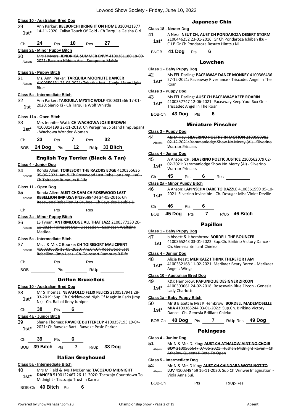|                | <b>Class 10 - Australian Bred Dog</b>                                                                                                      |                          |
|----------------|--------------------------------------------------------------------------------------------------------------------------------------------|--------------------------|
| 29             | Ann Parker: BEEBOPCHI BRING IT ON HOME 3100421377                                                                                          | Class 1                  |
| $1st*$         | 14-11-2020: Caliya Touch Of Gold - Ch Tarquila Geisha Girl                                                                                 | 41                       |
| Ch             | 24<br>$10$ Res<br>27<br>Pts                                                                                                                | 1st'                     |
|                | Class 2a - Minor Puppy Bitch                                                                                                               | <b>BNOE</b>              |
| 30             | Mrs J Myers: JENDRIKA SUMMER ENVY 4100361180 18-09-                                                                                        |                          |
| Absent         | 2021: Pacorro Hidden Ace - Sompeeto Maisie                                                                                                 |                          |
|                | Class 3a - Puppy Bitch                                                                                                                     | <u>Class 1</u>           |
| 31             | Ms. Ann Parker: TARQUILA MOONLITE DANCER                                                                                                   | 42<br>1st'               |
| Absent         | 4100359831 26-08-2021: Zabetha Jett - Sianjo Moon Light<br><b>Blue</b>                                                                     |                          |
|                | Class 5a - Intermediate Bitch                                                                                                              | Class 3                  |
| 32             | Ann Parker: TARQUILA MYSTIC WOLF 4100331566 17-01-                                                                                         | 43                       |
| 1st            | 2020: Sianjo Ki - Ch Tarquila Wolf Whistle                                                                                                 | 1st'                     |
|                | Class 11a - Open Bitch                                                                                                                     | BOB-                     |
| 33             | Mrs Jennifer Watt: CH WACHOWA JOSIE BROWN                                                                                                  |                          |
| 1st*           | 4100314199 22-11-2018: Ch Peregrine Jp Stand (Imp Japan)<br>- Wachowa Wonder Woman                                                         | Class 3                  |
|                |                                                                                                                                            | 44                       |
| Сh             | 33<br>Pts 7 Res 32                                                                                                                         | Absen                    |
|                | BOB 24 Dog Pts 12 R/Up 33 Bitch                                                                                                            |                          |
|                | <b>English Toy Terrier (Black &amp; Tan)</b>                                                                                               | Class 4<br>45            |
|                | Class 4 - Junior Dog                                                                                                                       | 1st'                     |
| 34             | Ronda Allen: TOIRESORT THE RAZORS EDGE 4100355636                                                                                          |                          |
| Absent         | 05-06-2021: Am & Ch Rosewood Last Rebellion (Imp Usa) -<br><b>Ch Toiresort Rumours R Rife</b>                                              | Ch                       |
|                | <u>Class 11 - Open Dog</u>                                                                                                                 | Class 2                  |
| 35             | Ronda Allen: AUST CH&AM CH ROSEWOOD LAST                                                                                                   | 46                       |
| Absent         | <b>REBELLION IMP USA RN29589404 24-05-2016: Ch</b><br>Rosewood Rebellion At Brubec - Ch Baysides Double D                                  | 1st'                     |
|                |                                                                                                                                            | Сh                       |
| Сh             | Pts<br>Res<br>Class 2a - Minor Puppy Bitch                                                                                                 | BOB                      |
| 36             | LS Tynan: ANTRIMLODGE ALL THAT JAZZ 2100577130 20-                                                                                         |                          |
| Absent         | 11-2021: Toiresort Dark Obsession - Sasndash Waltzing                                                                                      | Class 1                  |
|                | <del>Matilda</del>                                                                                                                         | 47                       |
| 37             | Class 5a - Intermediate Bitch<br>Mr. J & Mrs C Bourke: CH TOIRESORT MALICIFENT                                                             | 1st                      |
| Absent         | 4100336605 18-05-2020: Am.Ch.Ch Rosewood Last                                                                                              |                          |
|                | Rebellion (Imp Usa) Ch. Toiresort Rumours R Rife                                                                                           | Class 4<br>48            |
|                |                                                                                                                                            | 1st'                     |
| <b>BOB</b>     | $Pts$ $Pts$ $R/Up$ $Qep$                                                                                                                   |                          |
|                | <b>Griffon Bruxellois</b>                                                                                                                  | Class <sub>1</sub><br>49 |
|                | <b>Class 10 - Australian Bred Dog</b>                                                                                                      | 1st'                     |
| 38             | Mr S Thomas: NEVAFOLLO FELIX FELICIS 2100517941 28-<br>03-2019: Sup. Ch Cricklewood Nigh Of Magic In Paris (Imp                            |                          |
| $1st^*$        | Nz) - Ch. Balliol Jinny Juniper                                                                                                            | Class 1<br>50            |
| Ch             | 38 Pts 6                                                                                                                                   | 1st'                     |
|                | Class 4a - Junior Bitch                                                                                                                    |                          |
| 39             | Shane Thomas: RAWEKE BUTTERCUP 4100357195 19-04-                                                                                           | BOB-0                    |
| 1st $^{\star}$ | 2021: Ch Raweke Bart - Raweke Posie Parker                                                                                                 |                          |
|                |                                                                                                                                            | Class 4                  |
|                | Ch $\frac{39}{BOB}$ Pts $\frac{6}{7}$<br>BOB $\frac{39 \text{ Bitch}}{38 \text{ Dog}}$ Pts $\frac{7}{10}$ R/Up $\frac{38 \text{ Dog}}{38}$ | 51                       |
|                |                                                                                                                                            | Absen                    |
|                | <b>Italian Greyhound</b>                                                                                                                   | Class 5                  |
|                | Class 5a - Intermediate Bitch                                                                                                              | 52                       |
| 40             | Mrs M Field & Ms J McKenna: TACOZAJO MIDNIGHT<br>DANCER 5100122467 26-11-2020: Tacozajo Countdown To                                       | Absen                    |
| 1st*           | Midnight - Tacozajo Trust In Karma                                                                                                         | <b>DOD</b>               |

#### Japanese Chin

|  |  |  | Class 18 - Neuter Dog |  |
|--|--|--|-----------------------|--|
|--|--|--|-----------------------|--|

41 A Ness: **NEUT CH, AUST CH PONDAROZA DESERT STORM** 2100446252 23-01-2016: Gr Ch Pondaroza Ichiban Iku - C.I.B Gr Ch Pondaroza Besuto Himtsu Ni **1st\***

BNOB **41 Dog** Pts **6**

#### Lowchen

#### **Class 1 - Baby Puppy Dog**

42 Ms FEL Darling: **PACEAWAY DANCE MONKEY** 4100366436 27-12-2021: Paceaway Riverfance - Triscadec Angel In The Roar **1st\***

#### **Class 3 - Puppy Dog**

| 43     | Ms FEL Darling: AUST CH PACEAWAY KEEP ROARIN       |
|--------|----------------------------------------------------|
| $1st*$ | 4100357747 12-06-2021: Paceaway Keep Your Sox On - |
|        | Triscadec Angel In The Roar                        |

BOB-Ch **43 Dog** Pts **6**

#### Miniature Pinscher

#### **Class 3 - Puppy Dog**

44 Ms M Hay: **SILVERINO POETRY IN MOTION** 2100580982 02-12-2021: Yaramanlodge Show No Mercy (Ai) - Silverino Warrior Princess Absent

#### **Class 4 - Junior Dog**

45 A Anson: **CH. SILVERINO POETIC JUSTICE** 2100562079 02- 02-2021: Yaramanlodge Show No Mercy (Ai) - Silverino **Warrior Princess** 

| Ch | 45 | Pts | 6 | <b>Res</b> |  |
|----|----|-----|---|------------|--|
|    |    |     |   |            |  |

#### **Class 2a - Minor Puppy Bitch**

46 A Anson: **LAPINSCHA DARE TO DAZZLE** 4100361599 05-10- 2021: Silverino Invincible - Ch. Desugar Miss Violet Deville

| Ch | 46 | Pts | 6 |
|----|----|-----|---|
|    |    |     |   |

- BOB **45 Dog** Pts **7** R/Up **46 Bitch**
	- Papillon

#### **Class 1 - Baby Puppy Dog**

- 47 b.bissett & k hembrow: **BORDELL THE BOUNCER**
- 4100365243 03-01-2022: Sup.Ch. Birikino Victory Dance **Ch. Genesia Brilliant Chieko**

#### **Class 4 - Junior Dog**

- 48 Alicia Keast: **MERIKAEZ I THINK THEREFOR I AM**
- 4100352168 11-02-2021: Merikaez Beary Bored Merikaez **Angel's Wings**

#### **Class 10 - Australian Bred Dog**

- 49 K&K Hembrow: **PAPUNIQUE DESIGNER ZIRCON**
- 4100303661 24-02-2018: Roseswain Blue Zircon Genesia **Lady Charlotte**

#### **Class 1a - Baby Puppy Bitch**

50 Mr B Bissett & Mrs K Hembrow: **BORDELL MADEMOSELLE MIA** 4100365244 03-01-2022: Sup.Ch. Birikino Victory Dance - Ch. Genesia Brilliant Chieko

## BOB-Ch **48 Dog** Pts **7** R/Up-Res **49 Dog**

#### Pekingese

- **Class 4 - Junior Dog**
- 51 Mr N & Mrs D. King: **AUST CH ATHALOW AINT NO CHOIR**
- **BOY** 2100566647 07-06-2021: Hushan Midnight Raven Ch Athalow Queens R Beta To Open Absent

#### **Class 5 - Intermediate Dog**

- 52 Mr N & Mrs D King: **AUST CH CHINDARA WOTS NOT TO**
- **LUV** 4100349459 16-11-2020: Sup Ch Winwei Imagination Viola Anna Sui. Absent

BOB-Ch Pts R/Up-Res

BOB-Ch **40 Bitch** Pts **6**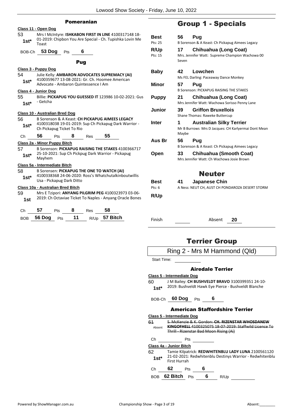|               | <b>Pomeranian</b>                                                                                                          |  |
|---------------|----------------------------------------------------------------------------------------------------------------------------|--|
|               | Class 11 - Open Dog                                                                                                        |  |
| 53<br>$1st^*$ | Mrs I McIntyre: ISHKABON FIRST IN LINE 4100317148 18-<br>01-2019: Chipbon You Are Special - Ch. Tupishka Lovin Me<br>Toast |  |
| BOB-Ch        | 53 Dog<br>6<br>Pts                                                                                                         |  |
|               | Pug                                                                                                                        |  |
|               | Class 3 - Puppy Dog                                                                                                        |  |
| 54            | Julie Kelly: AMBARON ADVOCATES SUPREMACY (AI)                                                                              |  |
| $1st*$        | 4100359677 13-08-2021: Gr. Ch. Hoomee American                                                                             |  |
|               | Advocate - Ambaron Quintessence I Am                                                                                       |  |
|               | Class 4 - Junior Dog                                                                                                       |  |
| 55            | Billie: PICKAPUG YOU GUESSED IT 123986 10-02-2021: Gus                                                                     |  |
| $1st^*$       | - Getcha                                                                                                                   |  |
|               | Class 10 - Australian Bred Dog                                                                                             |  |
| 56            | B Sorenson & A Keast: CH PICKAPUG AIMEES LEGACY                                                                            |  |
| 1st*          | 4100318038 19-01-2019: Sup Ch Pickapug Dark Warrior -<br>Ch Pickapug Ticket To Rio                                         |  |
| Ch            | 56<br>8<br>55<br><b>Pts</b><br>Res                                                                                         |  |
|               | Class 2a - Minor Puppy Bitch                                                                                               |  |
| 57            | B Sorenson: PICKAPUG RAISING THE STAKES 4100366717                                                                         |  |
| $1st^*$       | 25-10-2021: Sup Ch Pickpug Dark Warrior - Pickapug<br>Mayhem                                                               |  |
|               | Class 5a - Intermediate Bitch                                                                                              |  |
| 58            | B Sorensen: PICKAPUG THE ONE TO WATCH (AI)                                                                                 |  |
| $1st^*$       | 4100338368 24-06-2020: Ross's Whatchutalkinboutwillis<br>Usa - Pickapug Dark Ditto                                         |  |
|               | Class 10a - Australian Bred Bitch                                                                                          |  |
| 59            | Mrs E Tzipori: ANYANG PILGRIM PEG 4100323973 03-06-                                                                        |  |
| 1st           | 2019: Ch Octaviae Ticket To Naples - Anyang Oracle Bones                                                                   |  |
| Ch            | 57<br>8<br>58<br>Pts<br>Res                                                                                                |  |
| <b>BOB</b>    | 11<br>57 Bitch<br>56 Dog<br>R/Up<br>Pts                                                                                    |  |

# Group 1 - Specials

| Best         | 56    | Pug                                                 |
|--------------|-------|-----------------------------------------------------|
| Pts: 25      |       | B Sorenson & A Keast: Ch Pickapug Aimees Legacy     |
| R/Up         | 17    | Chihuahua (Long Coat)                               |
| Pts: 15      |       | Mrs. Jennifer Watt: Supreme Champion Wachowa 00     |
|              | Seven |                                                     |
| Baby         | 42    | Lowchen                                             |
|              |       | Ms FEL Darling: Paceaway Dance Monkey               |
| Minor        | 57    | Pug                                                 |
|              |       | <b>B Sorenson: PICKAPUG RAISING THE STAKES</b>      |
| <b>Puppy</b> | 21    | Chihuahua (Long Coat)                               |
|              |       | Mrs Jennifer Watt: Wachowa Sorisso Penny Lane       |
| Junior       | 39    | <b>Griffon Bruxellois</b>                           |
|              |       | Shane Thomas: Raweke Buttercup                      |
| <b>Inter</b> | 1     | <b>Australian Silky Terrier</b>                     |
|              |       | Mr B Burrows Mrs D Jacques: CH Karlyermai Dont Mean |
|              | Maybe |                                                     |
| Aus Br       | 56    | Pug                                                 |
|              |       | B Sorenson & A Keast: Ch Pickapug Aimees Legacy     |
| Open         | 33    | Chihuahua (Smooth Coat)                             |
|              |       | Mrs Jennifer Watt: Ch Wachowa Josie Brown           |
|              |       |                                                     |
|              |       | Neuter                                              |
| Best         | 41    | <b>Japanese Chin</b>                                |

| Dest   | 7 I<br><b>UGUALICSC VIIIII</b>                  |
|--------|-------------------------------------------------|
| Pts: 6 | A Ness: NEUT CH. AUST CH PONDAROZA DESERT STORM |
| R/Up   |                                                 |

Finish Absent **20**

# Terrier Group

|              | Ring 2 - Mrs M Hammond (Qld)                                                                                                                               |
|--------------|------------------------------------------------------------------------------------------------------------------------------------------------------------|
| Start Time:  |                                                                                                                                                            |
|              | <b>Airedale Terrier</b>                                                                                                                                    |
|              | <b>Class 5 - Intermediate Dog</b>                                                                                                                          |
| 60<br>$1st*$ | J M Bailey: CH BUSHVELDT BRAVO 3100399351 24-10-<br>2019: Bushveldt Hawk Eye Pierce - Bushveldt Blanche                                                    |
|              | BOB-Ch 60 Dog Pts 6                                                                                                                                        |
|              |                                                                                                                                                            |
|              | <b>American Staffordshire Terrier</b>                                                                                                                      |
|              | Class 5 - Intermediate Dog                                                                                                                                 |
| 61<br>Absent | S. McKenzie & K. Gordon: CH. RIZENSTAR WHOSDANEW<br>KINGOFHELL 4100325075 18-07-2019: Staffwild Licence To<br><b>Thrill Rizenstar Bad Moon Rising (Ai)</b> |
| Ch           |                                                                                                                                                            |
|              | Pts $\frac{1}{2}$<br><b>Class 4a - Junior Bitch</b>                                                                                                        |
| 62.          | Tamie Kilpatrick: REDWHITENBLU LADY LUNA 2100561120                                                                                                        |
| $1st^*$      | 21-02-2021: Redwhitenblu Destinys Warrior - Redwhitenblu<br><b>First Hurrah</b>                                                                            |
| Ch           | 62<br>6<br>Pts                                                                                                                                             |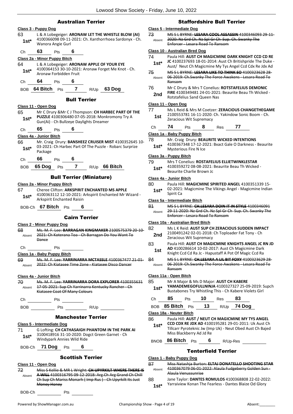#### Australian Terrier

|                 | Class 3 - Puppy Dog                 |                                            |                                                                                                                              |  |
|-----------------|-------------------------------------|--------------------------------------------|------------------------------------------------------------------------------------------------------------------------------|--|
| 63<br>$1st^*$   | Wanora Angie Gurl                   |                                            | L & A Lobegeiger: ARONAW LET THE WHISTLE BLOW (AI)<br>4100366098 09-11-2021: Ch. Xanthorrhoea Sardonyx - Ch.                 |  |
| Ch              | 63<br>Pts                           | 6                                          |                                                                                                                              |  |
|                 | Class 2a - Minor Puppy Bitch        |                                            |                                                                                                                              |  |
| 64              |                                     | L & A Lobegeiger: ARONAW APPLE OF YOUR EYE |                                                                                                                              |  |
| $1st^*$         | Aronaw Forbidden Fruit              |                                            | 4100364153 30-10-2021: Aronaw Forget Me Knot - Ch.                                                                           |  |
| Ch              | 64                                  | 6<br>Pts                                   |                                                                                                                              |  |
| BOB.            | 64 Bitch                            | Pts                                        | 7 R/Up 63 Dog                                                                                                                |  |
|                 |                                     | <b>Bull Terrier</b>                        |                                                                                                                              |  |
|                 | Class 11 - Open Dog                 |                                            |                                                                                                                              |  |
| 65              |                                     |                                            | Mr C Drury & Mr C J Thompson: CH HARBEC PART OF THE                                                                          |  |
| $1st^*$         |                                     | Gun(Ai) - Ch Bullzeye Daylights Dreamer    | PUZZLE 4100306480 07-05-2018: Monkromony Try A                                                                               |  |
| Сh              | 65<br>Pts                           | 6                                          |                                                                                                                              |  |
|                 | Class 4a - Junior Bitch             |                                            |                                                                                                                              |  |
| 66<br>$1st^*$   | Package                             |                                            | Mr. Craig Drury: BANSHEEZ CRUISER MIST 4100352645 10-<br>03-2021: Ch Harbec Part Of The Puzzle - Robarc Surprize             |  |
| Ch              | 66 Pts 6                            |                                            |                                                                                                                              |  |
| BOB             |                                     | 65 Dog Pts 7 R/Up 66 Bitch                 |                                                                                                                              |  |
|                 |                                     | <b>Bull Terrier (Miniature)</b>            |                                                                                                                              |  |
|                 | Class 2a - Minor Puppy Bitch        |                                            |                                                                                                                              |  |
| 67              |                                     |                                            | <b>Cheree Clifton: ARKSPIRIT ENCHANTED MS APPLE</b>                                                                          |  |
| 1st*            |                                     | Arkspirit Enchanted Raisin                 | 4100363112 12-10-2021: Arkspirit Enchanted Mr Wizard -                                                                       |  |
|                 | BOB-Ch 67 Bitch Pts                 |                                            |                                                                                                                              |  |
|                 |                                     | <b>Cairn Terrier</b>                       |                                                                                                                              |  |
|                 | <b>Class 2 - Minor Puppy Dog</b>    |                                            |                                                                                                                              |  |
| 68              |                                     |                                            | Ms. M. F. Lee: BARRAGAN KINGMAKER 2100575379 20-10-                                                                          |  |
| Absent          | <b>Dance</b>                        |                                            | 2021: Ch Koterana Toa - Ch Barragan Do You Want To                                                                           |  |
| Ch              | $\rule{1em}{0.15mm}$ Pts            |                                            |                                                                                                                              |  |
|                 | <u> Class 1a - Baby Puppy Bitch</u> |                                            |                                                                                                                              |  |
| 69 -            |                                     |                                            | Ms. M. F. Lee: YARRINARRA MCTASSLE 4100367477 21 01-<br>Absent 2022: Ch Kiatasee Time Zone - Kiatasee Disco Dancer           |  |
|                 | Class 4a - Junior Bitch             |                                            |                                                                                                                              |  |
|                 |                                     |                                            | 70 Ms. M. F. Lee: YARRINARRA DORA EXPLORER 4100355631                                                                        |  |
|                 |                                     | Kiatasee Coat Of Many Colours              | Absent 17 05 2021: Sup Ch Yarrinarra Kentucky Rancher Ch                                                                     |  |
|                 |                                     |                                            |                                                                                                                              |  |
|                 |                                     |                                            |                                                                                                                              |  |
|                 |                                     | <b>Manchester Terrier</b>                  |                                                                                                                              |  |
|                 | <u>Class 5 - Intermediate Dog</u>   |                                            |                                                                                                                              |  |
| 71 —<br>$1st^*$ |                                     | Windypark Annies Wild Ride                 | G Lofting: CH CATHASAIGH PHANTOM IN THE PARK AI<br>3100418916 31-10-2020: Dogct Green Garnet - Ch                            |  |
|                 |                                     | BOB-Ch 71 Dog Pts 6                        |                                                                                                                              |  |
|                 |                                     | <b>Scottish Terrier</b>                    |                                                                                                                              |  |
|                 | Class 11 - Open Dog                 |                                            |                                                                                                                              |  |
|                 |                                     |                                            | 72 Miss S Kellie & MR L Wright: CH UPYRKILT WHERE THERE IS<br>Absent A WILL 4100316795 09-12-2018: Arg.Ch Arg Grand Ch Chill |  |
|                 |                                     |                                            | Ch Sup Ch Mariss Monarh (Imp Rus ) - Ch Upyrkilt Its Just                                                                    |  |

|               | Friday, June 10, 2022                                                                                                                                                       |
|---------------|-----------------------------------------------------------------------------------------------------------------------------------------------------------------------------|
|               | Staffordshire Bull Terrier                                                                                                                                                  |
| 73<br>Absent  | Class 5 - Intermediate Dog<br>MS S L BYRNE: LESARA COOL ASSASSIN 4100346093 29-11-<br>2020: Nz Grd Ch. Nz Spl Gr Ch Sup. Ch. Swanky The<br>Enforcer - Lesara Road To Ransom |
|               | Class 10 - Australian Bred Dog                                                                                                                                              |
| 74<br>$1st^*$ | Paula Hill: AUST CH MAGICMINE DARK KNIGHT CCD CD RE<br>JC 4100237693 18-01-2014: Aust Ch Britishpride The Duke -<br>Aust/ Neut Ch Magicmine My Tys Angel Ccd Cdx Re Jdx Ad  |
| 75<br>Absent  | MS S L BYRNE: LESARA LIKE TO THINK SO 4100323628 28-<br>06 2019: Ch.Swanky The Force Awakens Lesara Road To<br>Ransom                                                       |
| 76<br>2nd     | Mr C Drury & Mrs T Conelius: ROTSTAFELIUS DEMONIC<br>FIRE 4100349481 24-01-2021: Beaurite Beau Th Wicked -<br>Rotstafelius Sand Queen Nas                                   |
|               | Class 11 - Open Dog                                                                                                                                                         |
| 77<br>1st     | Ms L Reid & Mrs M Coetzer: ZERACIOUS CHANGETHEGAME<br>2100553781 16-11-2020: Ch. Yakindow Sonic Boom - Ch.<br>Zeracious Wit Supremacy                                       |
| Сh            | 74<br>8<br>77<br>Pts<br>Res                                                                                                                                                 |
|               | <u> Class 1a - Baby Puppy Bitch</u>                                                                                                                                         |
| 78<br>$1st*$  | Mr. Craig Drury: BEAURITE WICKED INTENTIONS<br>4100367348 17-12-2021: Bxact Gale O Darkness - Beaurite<br><b>Mysterious Fire N Ice</b>                                      |
|               | <u> Class 3a - Puppy Bitch</u>                                                                                                                                              |
| 79<br>$1st^*$ | Mrs T Conelius: ROSTAFELIUS ELLIETWINKLESTAR<br>4100359272 08-08-2021: Beaurite Beau Th Wicked -<br>Beaurite Charlie Brown Jc                                               |
|               | Class 4a - Junior Bitch                                                                                                                                                     |
| 80<br>$1st^*$ | Paula Hill: MAGICMINE SPIRITED ANGEL 4100351339 15-<br>02-2021: Magicmine The Vikings Angel - Magicmine Indian<br>Spirit Ca                                                 |
|               | <u> Class 5a - Intermediate Bitch</u>                                                                                                                                       |
| 81            |                                                                                                                                                                             |
| Absent        | MS S L BYRNE: CH.LESARA DOIN IT IN STYLE 4100346091<br>29-11-2020: Nz Grd Ch. Nz Spl Gr Ch Sup. Ch. Swanky The<br>Enforcer Lesara Road To Ransom                            |
|               | Class 10a - Australian Bred Bitch                                                                                                                                           |

- 83 Paula Hill: **AUST CH MAGICMINE KNIGHTS ANGEL JC RN JD AD** 4100286614 10-02-2017: Aust Ch Magicmine Dark **1st AD** 4100286614 10-02-2017: Aust Ch Magicmine Dark<br>Knight Ccd Cd Ra Jc - Hapustaff A Pot Of Magic Ccd Ra
- 84 MS S L BYRNE: **CH.LESARA A LIL BIT FOXY** 4100323629 28- 06-2019: Ch.Swanky The Force Awakens - Lesara Road To Ransom Absent

#### **Class 11a - Open Bitch**

85 Mr A Major & Ms D Major: **AUST CH KABERE YAMADEMEGOFULLNINJA** 4100327327 25-09-2019: Supch Bustabones Try Whistling This - Ch Kabere Violets Girl **1st\***

Ch **85** Pts **10** Res **83** BOB **85 Bitch** Pts **13** R/Up **74 Dog Class 18a - Neuter Bitch** 86 Paula Hill: **AUST / NEUT CH MAGICMINE MY TYS ANGEL CCD CDX RE JDX AD** 4100195281 29-01-2011: Uk Aust Ch Tillcarr Pyroteknic Jw (Imp Uk) - Neut Obed Aust Ch Bajed Miss Blackberry Ad Jd Re **1st\*** BNOB **86 Bitch** Pts **6** R/Up-Res Tenterfield Terrier

#### **Class 1 - Baby Puppy Dog**

- 87 Miss Natashja Burton: **ELTAJ DONATELLO SHOOTING STAR** 4100367079 06-01-2022: Alaula Fudgeberry Golden Sun - Alaula Venussunrise Absent
- 88 Jane Taylor: **DANTES ROMULOS** 4100368808 22-02-2022: Yarraiview Konan The Fearless - Dantes Blaize Od Glory **1st\***

BOB-Ch Pts

Money Honey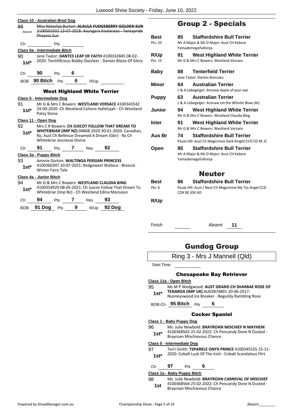| 89.<br>Absent | Class 10 - Australian Bred Dog<br>Phoenix Sun                                                                                                                                              |            |                            |          | Miss Natashja Burton: ALAULA FUDGEBERRY GOLDEN SUN<br>2100501932 13-07-2018: Aaungara Koolaraoo - Tentapride |
|---------------|--------------------------------------------------------------------------------------------------------------------------------------------------------------------------------------------|------------|----------------------------|----------|--------------------------------------------------------------------------------------------------------------|
| Сh            |                                                                                                                                                                                            | Pts        |                            |          |                                                                                                              |
|               | Class 5a - Intermediate Bitch                                                                                                                                                              |            |                            |          |                                                                                                              |
| 90            |                                                                                                                                                                                            |            |                            |          | Jane Taylor: DANTES LEAP OF FAITH 4100332845 08-02-                                                          |
| $1st^*$       |                                                                                                                                                                                            |            |                            |          | 2020: Tentili9cious Bobby Dazzleer - Dantes Blaize Of Glory                                                  |
| Ch            | 90                                                                                                                                                                                         | <b>Pts</b> | $\overline{\phantom{a}}$ 6 |          |                                                                                                              |
| BOB           | 90 Bitch Pts                                                                                                                                                                               |            |                            | 6 $R/Up$ |                                                                                                              |
|               |                                                                                                                                                                                            |            |                            |          | <b>West Highland White Terrier</b>                                                                           |
|               | <b>Class 5 - Intermediate Dog</b>                                                                                                                                                          |            |                            |          |                                                                                                              |
| 91            |                                                                                                                                                                                            |            |                            |          | Mr G & Mrs C Bowers: WESTLAND VERSACE 4100343542                                                             |
| $1st*$        | Patsy Stone                                                                                                                                                                                |            |                            |          | 24-09-2020: Ch Westland Cohens Hallelujah - Ch Westland                                                      |
|               | Class 11 - Open Dog                                                                                                                                                                        |            |                            |          |                                                                                                              |
| 92<br>1st*    | Mrs C R Bowers: CH JUSCOT FOLLOW THAT DREAM TO<br>WHITEBRIAR (IMP NZ) 04868-2020 30-01-2020: Canadian,<br>Nz, Aust Ch Bellevue Dreamed A Dream (Gbr) - Nz Ch<br>Whitebriar Jeunesse Divine |            |                            |          |                                                                                                              |
|               |                                                                                                                                                                                            |            |                            |          |                                                                                                              |
| Ch            | 91                                                                                                                                                                                         | Pts        | 7 Res                      |          | 92                                                                                                           |
|               | Class 3a - Puppy Bitch                                                                                                                                                                     |            |                            |          |                                                                                                              |
| 93 —          |                                                                                                                                                                                            |            |                            |          | Ammie Gorton: WALTINGA PERSIAN PRINCESS                                                                      |
| $1st^*$       | <b>Winter Fairy Tale</b>                                                                                                                                                                   |            |                            |          | 4100360397 10-07-2021: Redgowest Wallace - Brescot                                                           |
|               | Class 4a - Junior Bitch                                                                                                                                                                    |            |                            |          |                                                                                                              |
| 94            |                                                                                                                                                                                            |            |                            |          | Mr G & Mrs C Bowers: WESTLAND CLAUDIA BING                                                                   |
| $1$ st $*$    |                                                                                                                                                                                            |            |                            |          | 4100354929 08-05-2021: Ch Juscot Follow That Dream To<br>Whitebriar (Imp Nz) - Ch Westland Edina Monsoon     |
| Сh            | 94                                                                                                                                                                                         | Pts        | 7 Res                      |          | 93                                                                                                           |

# Group 2 - Specials

| <b>Best</b><br>Pts: 25 | 85                  | <b>Staffordshire Bull Terrier</b><br>Mr A Major & Ms D Major: Aust CH Kabere<br>Yamademegofullninja |
|------------------------|---------------------|-----------------------------------------------------------------------------------------------------|
| <b>R/Up</b><br>Pts: 15 | 91                  | West Highland White Terrier<br>Mr G & Mrs C Bowers: Westland Versace                                |
| Baby                   | 88                  | <b>Tenterfield Terrier</b><br>Jane Taylor: Dantes Romulos                                           |
| Minor                  | 64                  | <b>Australian Terrier</b><br>L & A Lobegeiger: Aronaw Apple of your eye                             |
| <b>Puppy</b>           | 63                  | <b>Australian Terrier</b><br>L & A Lobegeiger: Aronaw Let the Whistle Blow (AI)                     |
| Junior                 | 94                  | West Highland White Terrier<br>Mr G & Mrs C Bowers: Westland Claudia Bing                           |
| Inter                  | 91                  | <b>West Highland White Terrier</b><br>Mr G & Mrs C Bowers: Westland Versace                         |
| Aus Br                 | 74                  | <b>Staffordshire Bull Terrier</b><br>Paula Hill: Aust Ch Magicmine Dark Knight CCD CD RE JC         |
| Open                   | 85                  | <b>Staffordshire Bull Terrier</b><br>Mr A Major & Ms D Major: Aust CH Kabere<br>Yamademegofullninja |
|                        |                     | Neuter                                                                                              |
| <b>Best</b><br>Pts: 6  | 86<br>CDX RE JDX AD | <b>Staffordshire Bull Terrier</b><br>Paula Hill: Aust / Neut Ch Magicmine My Tys Angel CCD          |
| R/Up                   |                     |                                                                                                     |

Finish Absent **11**

# Gundog Group

|  |  | Ring 3 - Mrs J Mannell (Qld) |  |
|--|--|------------------------------|--|
|--|--|------------------------------|--|

Start Time:

#### Chesapeake Bay Retriever

#### **Class 11a - Open Bitch**

- 95 Ms M P Wedgwood: **AUST GRAND CH SHARBAE ROSE OF TENARDA (IMP UK)** AU02874801 20-06-2017:
	- 1st\* **IENARDA (IMP UK)** AUUZ874801 ZU-06-2017:<br>Nunneyswood Ice Breaker Beguildy Rambling Rose

BOB-Ch **95 Bitch** Pts **6**

#### Cocker Spaniel

#### **Class 1 - Baby Puppy Dog**

96 Ms. Julie Newbold: **BRAYROAN MISCHIEF N MAYHEM** 4100368565 25-02-2022: Ch Pencandy Done N Dusted -

Brayroan Mischievous Chance **1st\***

#### **Class 5 - Intermediate Dog**

97 Terri Smith: **TSPARKLE ONYX PRINCE** 4100345535 15-11- 2020: Cobalt Luck Of The Irish - Cobalt Scandalous Flirt **1st\***

#### Ch **97** Pts **6**

#### **Class 1a - Baby Puppy Bitch**

98 Ms. Julie Newbold: **BRAYROAN CARNIVAL OF MISCHIEF** 4100368564 25-02-2022: Ch Pencandy Done N Dusted - Brayroan Mischievous Chance **1st**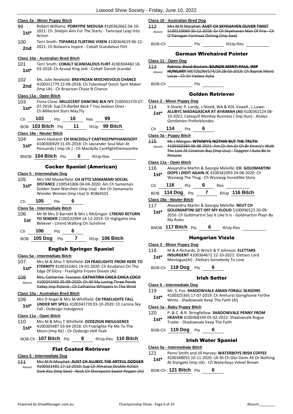|                | Class 2a - Minor Puppy Bitch                                                                                                                                                               |  |
|----------------|--------------------------------------------------------------------------------------------------------------------------------------------------------------------------------------------|--|
| 99<br>$1st^*$  | Robert Williams: PORKYPIE MEDUSA 4100362662 04-10-<br>2021: Ch. Shelpin Aim For The Starts - Twnroyal Leap Into<br>Action                                                                  |  |
| 100<br>2nd     | Terri Smith: TSPARKLE FLIRTING VIXEN 4100364619 06-12-<br>2021: Ch Bolwarra Inspire - Cobalt Scandalous Flirt                                                                              |  |
|                | Class 10a - Australian Bred Bitch                                                                                                                                                          |  |
| 101<br>$1st^*$ | Terri Smith: COBALT SCANDALOUS FLIRT 4100304460 18-<br>03-2018: Ch Acvaal King Jedi - Cobalt Danish Scandal                                                                                |  |
| 102<br>2nd     | Ms. Julie Newbold: BRAYROAN MISCHIEVOUS CHANCE<br>4100311779 22-09-2018: Ch Totenkopf Dutch Spirt Maker<br>(Imp Uk) - Ch Brayroan Chase N Chance                                           |  |
|                | Class 11a - Open Bitch                                                                                                                                                                     |  |
| 103<br>1st*    | Fiona Close: MILLECENT DANCING BLK IVY 2100501370 07-<br>07-2018: Sup.Ch.Barbet Back T You Jealous Ones -<br>Ch. Millecent Stars May Fly                                                   |  |
| Сh             | 103<br>Pts 10 Res<br>99                                                                                                                                                                    |  |
|                | BOB 103 Bitch Pts 11 R/Up 99 Bitch                                                                                                                                                         |  |
|                | Class 18a - Neuter Bitch                                                                                                                                                                   |  |
| 104<br>1st*    | Jenni Haskard: CH MACDOLLY CANTKEEPMYHANDSOFF<br>4100306929 31-05-2018: Ch Jayzander Soul Man At<br>Pencandy (Imp Uk) - Ch Macdolly Cantfightthemoonlite                                   |  |
|                | BNOB 104 Bitch Pts 6 R/Up-Res                                                                                                                                                              |  |
|                |                                                                                                                                                                                            |  |
|                | <b>Cocker Spaniel (American)</b><br><u>Class 5 - Intermediate Doq</u>                                                                                                                      |  |
| 105<br>$1st^*$ | Mrs VM Masterfield: CH JETTZ SAMAMARI SOCIAL<br>DISTANCE 2100541006 04-04-2020: Am Ch Samamais<br>Golden State Warriheir (Imp Usa) - Am Ch Samamarts<br>Wonder Women (Imp Usa) Sr 85864101 |  |
| Сh             | 105<br>6<br>Pts                                                                                                                                                                            |  |
|                | Class 5a - Intermediate Bitch                                                                                                                                                              |  |
| 106<br>1st     | Mr M Mrs D Barnett & Mrs L McGregor: LTREND RETURN<br>TO SENDER 2100532994 14-12-2019: Ch Highgatte Ima<br>Believer - Ltrend Walking On Sunshine                                           |  |
| Ch             | 106<br>6<br>Pts                                                                                                                                                                            |  |
| BOB.           | <b>105 Dog</b><br>7<br>R/Up 106 Bitch<br>Pts                                                                                                                                               |  |
|                |                                                                                                                                                                                            |  |
|                | <b>English Springer Spaniel</b>                                                                                                                                                            |  |
| 107            | Class 5a - Intermediate Bitch<br>Mrs M & Miss T Whitfield: CH FRAELIGHTE FROM HERE TO                                                                                                      |  |
| 1st*           | ETERNITY 4100332461 19-01-2020: Ch Azudance On The                                                                                                                                         |  |
|                | Edge Of Glory - Fraelighte Frozen Dream (Ai)                                                                                                                                               |  |
| 108            | Mrs. Catherine Toscano: CATHATINA CHICA CHICA COCO<br>4100342465 05-09-2020: Ch All My Loving Three Ponds                                                                                  |  |
| Absent         | Valley Imp Poland - Ch Cathatina Whispers In The Wind                                                                                                                                      |  |
|                | Class 10a - Australian Bred Bitch                                                                                                                                                          |  |
| 109            | Mrs D Angel & Mrs M Whitfield: CH FRAELIGHTE FALL                                                                                                                                          |  |
| $1st*$         | UNDER MY SPELL 4100343739 03-10-2020: Ch Larona Sky<br>Fall - Ozdesign Indulgence                                                                                                          |  |
|                | Class 11a - Open Bitch                                                                                                                                                                     |  |
| 110            | Mrs M & Miss T Whitfield: OZDEZIGN INDULGENCE                                                                                                                                              |  |
| $1st^*$        | 4100305487 03-04-2018: Ch Fraelighte Fly Me To The<br>Moon (Imp Nz) - Ch Ozdezign Hell Yeah                                                                                                |  |
|                | BOB-Ch 107 Bitch Pts<br>8 $R/Up\text{-}Res$ 110 Bitch                                                                                                                                      |  |
|                | <b>Flat Coated Retriever</b>                                                                                                                                                               |  |
|                | Class 5 - Intermediate Dog                                                                                                                                                                 |  |
| <u> 111</u>    | Mrs M N Morphet: AUST CH ALUBYC THE ARTFUL DODGER                                                                                                                                          |  |
| Absent         | 4100331491 17-12-2019: Sup Ch Almanza Double Action                                                                                                                                        |  |

Dark Kiss (Imp Swe) - Nzch Ch Sherepoint Sweet Pepper (Ai)

#### **Class 10 - Australian Bred Dog**

112 Mrs M N Morphet: **AUST CH SKYEHAVEN OLIVER TWIST** 5100110069 30-12-2018: Gr Ch Skyehaven Man Of Fire - Ch O'Flanagan Formosa Oolong (Imp Swe) Absent

BOB-Ch Pts Manual Pts R/Up-Res

|  | <b>German Wirehaired Pointer</b> |  |
|--|----------------------------------|--|
|--|----------------------------------|--|

#### **Class 11 - Open Dog**

113 Patricia Bond-Beckett: **BAJNOK MENTI PAUL IMP HUNGARY** METDSZNV574/19 28-03-2019: Ch Bajnok Menti

- Lucas Ch Sri Vadasz Ayka Absent
- BOB-Ch Pts

#### Golden Retriever

#### **Class 2 - Minor Puppy Dog**

114 K.Shield, P. Landy, J.Shield, WA & KDL Vowell , L.Lowe: **ALUBYC MADAGASCAR AT AYAIMAH (AI)** 4100362124 08- 10-2021: Catequill Monkey Business ( Imp Hun) - Alubyc Gentlemen Preferblondes **1st\***

#### Ch **114** Pts **6**

#### **Class 3a - Puppy Bitch**

115 Ms J Morgan: **WYSIWYG NOTHIN BUT THE TRUTH** 4100360384 06-08-2021: Am.Ch.Am.Gr Ch.Br Emery's Walk The Line At Cinamon Bay (Imp Usa) - Topgeer I Auto Be In Pictures Absent

#### **Class 11a - Open Bitch**

116 Alexandria Martin & Georgia Melville: **CH. GOLDMARTINI OOPS I DIDIT AGAIN JC** 4100342093 24-08-2020: Ch Wysiwyg The Thug - Ch Wysiwyg Incredible Story **1st\***

|  |  | __ |  |
|--|--|----|--|
|  |  |    |  |

|  | BOB 114 Dog Pts |  |  |  | $R/Up$ 116 Bitch |
|--|-----------------|--|--|--|------------------|
|--|-----------------|--|--|--|------------------|

#### **Class 18a - Neuter Bitch**

- 117 Alexandria Martin & Georgia Melville: **NEUT CH**
- **GOLDMARTINI GET OFF MY KLOUD** 5100096523 20-09- 2016: Ch Goldmartini Say It Like It Is - Goldmartini Playn By My Rules **1st\***

BNOB **117 Bitch** Pts **6** R/Up-Res

#### Hungarian Vizsla

- 118 M & A Richards, D Winch & P Johnson: **ELETTARS INSURGENT** 4100364672 22-10-2021: Elettars Lord
- Montague(Ai) Elettars Somebody To Love **1st\***

BOB-Ch **118 Dog** Pts **6**

#### Irish Setter

**Class 5 - Intermediate Dog**

#### 119 Mr. S. Fox: **SHADOWVALE AMAN FORALL SEASONS**

4100325365 17-07-2019: Ch Amhurst Goinghome Forthe Winta - Shadowvale Keep The Faith (Ai) **1st\***

#### **Class 1a - Baby Puppy Bitch**

- 120 P. & C. & R. Stringfellow: **SHADOWVALE PENNY FROM HEAVEN** 4100368194 05-02-2022: Shadowvale Rogue
	- Trader Shadowvale Keep The Faith **1st\***

BOB-Ch **119 Dog** Pts **6**

#### Irish Water Spaniel

#### **Class 5a - Intermediate Bitch**

- 121 Penni Smith and Jill Harvey: **WATERBOYS IRISH COFFEE** 4100348055 10-11-2020: Uk Sh Ch Gloi Donn All Or Nothing
	- **1st**\* 4100348055 10-11-2020: UK Sh Ch Gloi Donn All Or<br>At Stangate (Imp Uk) Ch Waterboys Velvet Brown

BOB-Ch **121 Bitch** Pts **6**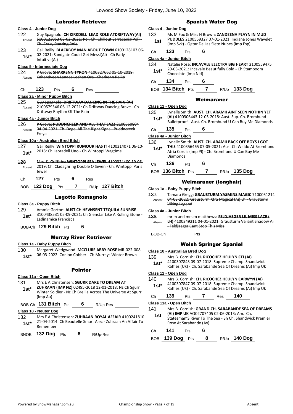#### Labrador Retriever

- **Class 4 - Junior Dog** 122 Guy Spagnolo: **CH KIRKDELL LEAD ROLE ATDRIFTWAY(AI)** 5100123053 03-02-2021: Pol. Ch. Chillout Sarracenia(Pol) - Ch. Eraky Starring Role Absent 123 Gail Reilly: **BLACKBOY MAN ABOUT TOWN** 6100128103 06- 02-2021: Sandgate Could Get Messi(Ai) - Ch Early Intuitive(Ai) **1st\* Class 5 - Intermediate Dog** 124 P Grove: **SHARKENN TYRON** 4100327662 05-10-2019: Absent Caherciveen Landas Lochan Ora - Sharkenn Reiko Ch **123** Pts **6** Res **Class 2a - Minor Puppy Bitch** 125 Guy Spagnolo: **DRIFTWAY DANCING IN THE RAIN (AI)** 2100579346 06-12-2021: Ch Driftway Dancing Brave - Ch Driftway Rhythm Of The Rain Absent **Class 4a - Junior Bitch** 126 P Grove: **PUDDNCREEK AND ALL THAT JAZZ** 2100560804 04-04-2021: Ch. Degel All The Right Signs - Puddncreek Freya Absent **Class 10a - Australian Bred Bitch** 127 Gail Reilly: **WINTOPPI RUMOUR HAS IT** 4100314071 06-10- 2018: Ch Labradell Uno - Ch Wintoppi Wagtime **1st\*** 128 Mrs. K. Griffiths: **WINTOPPI SEA JEWEL** 4100324400 19-06- 2019: Ch. Cladaghring Double O Seven - Ch. Wintoppi Paris Jewel Absent Ch **127** Pts **6** Res BOB **123 Dog** Pts **7** R/Up **127 Bitch** Lagotto Romagnolo **Class 3a - Puppy Bitch** 129 Ammie Gorton: **AUST CH HEVNSENT TEQUILA SUNRISE** 3100438531 05-09-2021: Ch Glenstar Like A Rolling Stone - Ladinamica Francisca **1st\*** BOB-Ch **129 Bitch** Pts **6** Murray River Retriever **Class 1a - Baby Puppy Bitch** 130 Margaret Wedgwood: **MCCLURE ABBY ROSE** MR-022-008 06-03-2022: Conlon Cobber - Cb Murrays Winter Brown **1st\*** Pointer **Class 11a - Open Bitch** 131 Mrs E A Christensen: **SGURR DARE TO DREAM AT ZUHRAAN (IMP NZ)** 02495-2018 12-01-2018: Nz Ch Sgurr Winter Soldier - Nz Ch Breilla Across The Universe At Sgurr (Imp Au) **1st\*** BOB-Ch **131 Bitch** Pts **6** R/Up-Res **Class 18 - Neuter Dog** 132 Mrs E A Christensen: **ZUHRAAN ROYAL AFFAIR** 4100241810
- 21-04-2014: Ch Beautelle Smart Alec Zuhraan An Affair To Remember **1st\***

BNOB **132 Dog** Pts **6** R/Up-Res

#### Spanish Water Dog

#### **Class 4 - Junior Dog**

133 Ms M Fox & Miss H Brown: **ZANDEENA PLAYN IN MUD PUDDLES** 2100559327 07-01-2021: Indiana Jones Wavelet (Imp Svk) - Qatar De Las Siete Nubes (Imp Esp) **1st**

# Ch **133** Pts **6**

#### **Class 4a - Junior Bitch**

134 Natalie Rose: **INCAVALE ELECTRA BIG HEART** 2100559475 20-03-2021: Incavale Beautifully Bold - Ch Stamboom **1st**\* <sup>20-03-2021: Incaval<br>Chocolate (Imp Nld)</sup>

Ch **134** Pts **6**

#### BOB **134 Bitch** Pts **7** R/Up **133 Dog**

#### Weimaraner

- **Class 11 - Open Dog** 135 Lynelle Smith: **AUST. CH. ARAMII AINT SEEN NOTHIN YET (AI)** 4100306443 12-05-2018: Aust. Sup. Ch. Bromhund
	- **1st\*** (AI) 4100306443 12-05-2018: Aust. Sup. Ch. Bromhund Bulletproof Aust. Ch. Bromhund U Can Buy Me Diamonds

# Ch **135** Pts **6**

#### **Class 4a - Junior Bitch**

- 136 Lynelle Smith: **AUST. CH. ARAMII BACK OFF BOYS I GOT THIS** 4100356465 07-05-2021: Aust Ch Waldo At Bromhund Atria Cordis (Imp Pl) - Ch. Bromhund U Can Buy Me Diamonds **1st\***
- Ch **136** Pts **6**
- BOB **136 Bitch** Pts **7** R/Up **135 Dog**

#### Weimaraner (longhair)

- **Class 1a - Baby Puppy Bitch**
- 137 Tamara Gregg: **GRAUSTURM YASMINS MAGIC** 7100051214 04-03-2022: Grausturm Xtra Magical (Ai) Lh - Grausturm Viking Legend Absent

#### **Class 4a - Junior Bitch**

138 mr m and mrs m matthews: **FELDJAEGER LIL MISS LACE ( LH)** 4100349211 04-01-2021: Grausturm Valiant Shadow Ai - Feldjaeger Cant Stop This Miss Absent

BOB-Ch Pts

#### Welsh Springer Spaniel

#### **Class 10 - Australian Bred Dog**

139 Mrs B. Cornish: **CH. RICOCHEZ HEULYN CEI (AI)** 4100307843 09-07-2018: Supreme Champ. Shandwick Raffles (Uk) - Ch. Sarabande Sea Of Dreams (Ai) Imp Uk **1st\***

#### **Class 11 - Open Dog**

140 Mrs B. Cornish: **CH. RICOCHEZ HEULYN CARWYN (AI)** 4100307847 09-07-2018: Supreme Champ. Shandwick Raffles (Uk) - Ch. Sarabande Sea Of Dreams (Ai) Imp Uk **1st\***

#### Ch **139** Pts **7** Res **140**

#### **Class 11a - Open Bitch**

141 Mrs B. Cornish: **GRAND.CH. SARABANDE SEA OF DREAMS (AI) IMP UK** AQ02707405 02-06-2013: Am. Ch. Statesman'S River To The Sea - Sh Ch. Shandwick Premier Rose At Sarabande (Jw) **1st** Ch **141** Pts **6**

BOB **139 Dog** Pts **8** R/Up **140 Dog**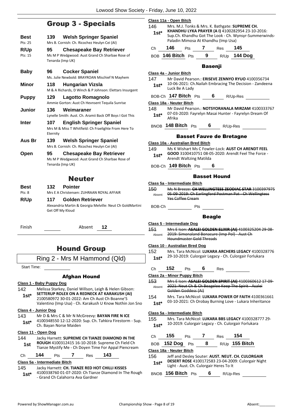# Group 3 - Specials

| Best    | 139             | <b>Welsh Springer Spaniel</b>                                                                         |
|---------|-----------------|-------------------------------------------------------------------------------------------------------|
| Pts: 25 |                 | Mrs B. Cornish: Ch. Ricochez Heulyn Cei (AI)                                                          |
| R/Up    | 95              | <b>Chesapeake Bay Retriever</b>                                                                       |
| Pts: 15 |                 | Ms M P Wedgwood: Aust Grand Ch Sharbae Rose of<br>Tenarda (Imp UK)                                    |
| Baby    | 96.             | <b>Cocker Spaniel</b><br>Ms. Julie Newbold: BRAYROAN Mischief N Mayhem                                |
|         |                 |                                                                                                       |
| Minor   | 118             | Hungarian Vizsla<br>M & A Richards, D Winch & P Johnson: Elettars Insurgent                           |
| Puppy   | 129             | Lagotto Romagnolo<br>Ammie Gorton: Aust Ch Hevnsent Tequila Sunrise                                   |
| Junior  | 136             | Weimaraner<br>Lynelle Smith: Aust. Ch. Aramii Back Off Boys I Got This                                |
| Inter   | 107<br>Eternity | <b>English Springer Spaniel</b><br>Mrs M & Miss T Whitfield: Ch Fraelighte From Here To               |
| Aus Br  | 139             | <b>Welsh Springer Spaniel</b><br>Mrs B. Cornish: Ch. Ricochez Heulyn Cei (AI)                         |
| Open    | 95              | <b>Chesapeake Bay Retriever</b><br>Ms M P Wedgwood: Aust Grand Ch Sharbae Rose of<br>Tenarda (Imp UK) |

# Neuter

| Best   |     | 132 Pointer                               |
|--------|-----|-------------------------------------------|
| Pts: 8 |     | Mrs E A Christensen: ZUHRAAN ROYAL AFFAIR |
| R/Up   | 117 | Golden Retriever                          |

Alexandria Martin & Georgia Melville: Neut Ch GoldMartini Get Off My Kloud

Finish Absent **12**

# Hound Group

#### Ring 2 - Mrs M Hammond (Qld)

Start Time:

#### Afghan Hound

#### **Class 1 - Baby Puppy Dog**

142 Melissa Starkey, Daniel Willson, Leigh & Helen Gibson: **SETTERUP ROLEX ON A REDNECK AT KARAKUSH (AI)** 2100580972 30-01-2022: Am Ch Aust Ch Boanne'S Valentino (Imp Usa) - Ch. Karakush U Know Nothin Jon Sno **1st\***

#### **Class 4 - Junior Dog**

- 143 Mr D & Mrs C & Mr N McGreevy: **BAYAN FIRE N ICE**
- 4100348550 12-12-2020: Sup. Ch. Tahkira Firestorm Sup. **1st**\* 4100348550 12-12-2020:<br>Ch. Bayan Norse Maiden

#### **Class 11 - Open Dog**

144 Jacky Harnett: **SUPREME CH TIANZE DIAMOND IN THE ROUGH** 4100312415 16-10-2018: Supreme Ch Field Ch **1st ROUGH** 4100312415 16-10-2018: Supreme Ch Field Ch<br>Tianze Mystify Me - Ch Doyen Time For Appal Piencream

#### Ch **144** Pts **7** Res **143**

#### **Class 5a - Intermediate Bitch**

- 145 Jacky Harnett: **CH. TIANZE RED HOT CHILLI KISSES**
	- 4100338760 01-07-2020: Ch Tianze Diamond In The Rough **1st**\* 4100338760 01-07-2020: Ch Tianz<br>Grand Ch Calahorra Ava Gardner

|             | Class 11a - Open Bitch                                                                                                          |
|-------------|---------------------------------------------------------------------------------------------------------------------------------|
| 146         | Mrs. M.J. Tonks & Mrs. K. Bathgate: SUPREME CH.                                                                                 |
| 1st*        | KHANDHU LYKA PRAYER (A I) 4100282954 23-10-2016:                                                                                |
|             | Sup.Ch. Khandhu Got The Look - Ch. Wynsyr-Summerwinds-<br>Paladin Mimosa At Khandhu (Imp Usa)                                   |
|             |                                                                                                                                 |
| Ch          | 146<br>Pts 7 Res 145                                                                                                            |
|             | BOB 146 Bitch Pts 9 R/Up 144 Dog                                                                                                |
|             |                                                                                                                                 |
|             | <b>Basenji</b>                                                                                                                  |
|             | Class 4a - Junior Bitch                                                                                                         |
| 147<br>1st* | Mr David Pearson.: ERISEVE ZENNYO RYUO 4100356734<br>10-06-2021: Ch. Nailah Embracing The Decision - Zandeena<br>Luck Be A Lady |
|             | BOB-Ch 147 Bitch Pts 6 R/Up-Res                                                                                                 |
|             | Class 18a - Neuter Bitch                                                                                                        |
| 148         | Mr David Pearson.: NOTSYORANALA MIRZAM 4100333767                                                                               |
| $1$ st $^*$ | 07-03-2020: Fayrelyn Masai Hunter - Fayrelyn Dream Of<br>Afrika                                                                 |
|             | BNOB 148 Bitch Pts 6 R/Up-Res                                                                                                   |
|             | <b>Basset Fauve de Bretagne</b>                                                                                                 |
|             | Class 10a - Australian Bred Bitch                                                                                               |
| 149         | Ms K Wishart Ms C Fowler-Lock: AUST CH ARENDT FEEL                                                                              |
| 1st*        | GOOD 3100410751 08-05-2020: Arendt Feel The Force -<br>Arendt Waltzing Matilda                                                  |
|             | BOB-Ch 149 Bitch Pts 6                                                                                                          |
|             | <b>Basset Hound</b>                                                                                                             |
|             |                                                                                                                                 |
| 150         | Class 5a - Intermediate Bitch<br>Ms N Breeze: CH WELLINGTESS ZEODIAC STAR 3100397975                                            |
|             | Absent 05-09-2019: Ch Earlingford Postman Pat - Ch Wellingtess<br>Yes Coffee Cream                                              |
| BOB-Ch      | <b>Pts</b>                                                                                                                      |
|             | <b>Beagle</b>                                                                                                                   |
|             | Class 5 - Intermediate Dog                                                                                                      |
| 151         | Mrs E Ison: ASALEI GOLDEN ELIXIR (AI) 4100325204 29-08-                                                                         |
|             | Absent 2019: Simonaland Bonacure (Imp Pol) - Aust Ch<br>Houndmaster Gold Threads                                                |
|             | Class 10 - Australian Bred Dog                                                                                                  |
| 152         | Mrs. Tara McNicol: LUKARA ARCHERS LEGACY 4100328776                                                                             |
| $1st^*$     | 29-10-2019: Culorgair Legacy - Ch. Culorgair Forlukara                                                                          |
| Ch          | 152<br>Pts $6$ Res                                                                                                              |
|             | Class 2a - Minor Puppy Bitch                                                                                                    |
| 153         | Mrs E Ison: ASALEI GOLDEN SPIRIT (AI) 4100360612 17-09-                                                                         |
| Absent      | 2021: Neut Ch & Ch Beagelee Keep The Spirit Asalei<br>Golden Goddess (Ai)                                                       |
| 154         | Mrs. Tara McNicol: LUKARA POWER OF FAITH 4100361661                                                                             |
| 1st*        | 03-10-2021: Ch Orobay Burning Love - Lukara Inheritance                                                                         |
|             | Class 5a - Intermediate Bitch                                                                                                   |
| 155         | Mrs. Tara McNicol: LUKARA BBS LEGACY 4100328777 29-                                                                             |
| 1st*        | 10-2019: Culorgair Legacy - Ch. Culorgair Forlukara                                                                             |
|             |                                                                                                                                 |
| Сh          | 155<br>154<br>Pts 7 Res<br>R/Up 155 Bitch<br>BOB 152 Dog Pts 8                                                                  |

#### **Class 18a - Neuter Bitch**

156 Jeff and Desley Souter: **AUST. NEUT. CH. CULORGAIR DESERT ROSE** 4100172583 23-04-2009: Culorgair Night Light - Aust. Ch. Culorgair Heres To It **1st\***

BNOB **156 Bitch** Pts **6** R/Up-Res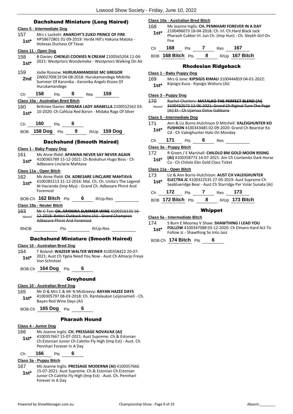#### Dachshund Miniature (Long Haired)

#### **Class 5 - Intermediate Dog** 157 Mrs L Lockett: **ANARCHY'S ZUKO PRINCE OF FIRE** HP58672801 01-09-2019: Verde Hill's Hakuna Matata - Hotexas Duchess Of Texas **1st\* Class 11 - Open Dog** 158 B Davies: **CHENLEI COOKIES N CREAM** 2100565204 11-04- 2021: Westpriors Woodsmoke - Westpriors Walking On Air **1st\*** 159 Jodie Rossow: **HURUKAMANDEGE MC GREGOR** ZA002700E19 04-08-2018: Hurukamandege Midnite Summer Of Karonika - Karonika Angels Kisses Of Hurukamandege **2nd** Ch **158** Pts **8** Res **159 Class 10a - Australian Bred Bitch** 160 Brittnee Davies: **MIDAKA LADY ARABELLA** 2100552562 03- 10-2020: Ch Cahluia Red Baron - Midaka Rags Of Silver **1st\*** Ch **160** Pts **6** BOB **158 Dog** Pts **9** R/Up **159 Dog** Dachshund (Smooth Haired) **Class 1 - Baby Puppy Dog** 161 Ms Anne Ifield: **APANINA NEVER SAY NEVER AGAIN** 4100365789 15-12-2021: Ch Boskahun Hugo Boss - Ch Adbesare Linclarie Mahtava **1st\* Class 11a - Open Bitch** 162 Ms Anne Ifield: **CH. ADBESARE LINCLAIRE MAHTAVA** 4100285213 31-12-2016: Mal. Ch. Ch. Unita's The Legend At Hacienda (Imp Mys) - Grand Ch. Adbesare Phirst And Foremost **1st\*** BOB-Ch **162 Bitch** Pts **6** R/Up-Res **Class 18a - Neuter Bitch** 163 Mr C Tan: **CH. APANINA SUMMER WINE** 4100316133 16- 12-2018: Bekkri Outback Hero (Ai) - Grand Champion Adbesare Phirst And Foremost Absent BNOB Pts R/Up-Res Dachshund Miniature (Smooth Haired) **Class 10 - Australian Bred Dog** 164 T Boland: **WAZEER WALTER WEINER** 4100358422 20-07- 2021: Aust Ch Ygeia Need You Now - Aust Ch Almarjo Freya Von Schnitzel **1st\*** BOB-Ch **164 Dog** Pts **6** Greyhound **Class 10 - Australian Bred Dog** 165 Mr D & Mrs C & Mr N McGreevy: **BAYAN HAZEE DAYS** 4100305797 08-03-2018: Ch. Rantalaukan Leijonamieli - Ch. Bayan Red Wine Days (Ai) **1st\*** BOB-Ch **165 Dog** Pts **6** Pharaoh Hound **Class 4 - Junior Dog** 166 Ms Joanne Inglis: **CH. PRESSAGE NOVAVAX (AI)** 4100357667 15-07-2021: Aust Supreme. Ch.& Estonian Ch.Estonian Junior Ch Caletto Fly High (Imp Est) - Aust. Ch. Pennhari Forever In A Day **1st\*** Ch **166** Pts **6 Class 3a - Puppy Bitch**

167 Ms Joanne Inglis: **PRESSAGE MODERNA (AI)** 4100357666 15-07-2021: Aust Supreme. Ch.& Estonian Ch.Estonian Junior Ch Caletto Fly High (Imp Est) - Aust. Ch. Pennhari Forever In A Day **1st\***

#### **Class 10a - Australian Bred Bitch**

168 Ms Joanne Inglis: **CH. PENNHARI FOREVER IN A DAY** 2100496073 18-04-2018: Ch. Irl. Ch.Hard Black Jack Pharaoh Cukker Irl. Jun Ch. (Imp Hun) - Ch. Sleykh Girl On Fire **1st\***

| 68 |  | - 24 | 67 |
|----|--|------|----|
|    |  |      |    |

BOB **168 Bitch** Pts **8** R/Up **167 Bitch**

#### Rhodesian Ridgeback

#### **Class 1 - Baby Puppy Dog**

169 Mrs G Jane: **KIPSIGIS KIMAU** 3100444859 04-01-2022: Kipsigis Kuza - Kipsigis Wahuru (Ai) **1st\***

#### **Class 3 - Puppy Dog**

170 Rachel Charters: **MATALKO THE PERFECT BLEND (AI)** 3100432572 12-06-2021: Grand Ch Riginal Turn The Page (Ai) Et - Ch Ujamaa Dolce Gabbana Absent

#### **Class 5 - Intermediate Dog**

171 Ann & Liz Burns-Hutchison D Mitchell: **VALEIGHUNTER KO FUSHION** 4100343485 02-09-2020: Grand Ch Bearstar Ko

Cd - Ch Valeighunter Halo On Monday **1st\***

| Ch | 171 | Pts | 6 | Res |  |
|----|-----|-----|---|-----|--|
|    |     |     |   |     |  |

**Class 3a - Puppy Bitch**

#### 172 R Green / E Marshall: **CHILOLO BM GOLD MOON RISING**

**(AI)** 4100358773 14-07-2021: Am Ch Lionlambs Dark Horse **1st\* (AI)** 4100358773 14-07-2021: Am Chilolo Ebn Gold Class Ticket

#### **Class 11a - Open Bitch**

173 Liz & Ann Burns-Hutchison: **AUST CH VALEIGHUNTER ELECTRA JC** 4100322535 27-05-2019: Aust Supreme Ch **1st\* ELECTRA JC** 4100322535 27-05-2019: Aust Supreme Ch<br>Seablueridge Bear - Aust Ch Starridge Per Volar Sunata (Ai)

| Ch | 172 | Pts | Res | 173                                                        |  |
|----|-----|-----|-----|------------------------------------------------------------|--|
|    |     |     |     | <u>Jeaniueriuge Dear - Aust en Jtarriuge Fer Volar Jul</u> |  |

| BOB 172 Bitch Pts |  | R/Up 173 Bitch |
|-------------------|--|----------------|
|                   |  |                |

#### Whippet

#### **Class 5a - Intermediate Bitch**

174 S Burn E Mooney V Shaw: **SHAWTHING I LEAD YOU FOLLOW** 4100347088 03-12-2020: Ch Elmaro Hard Act To Follow Jc - Shawthing So Into Jazz **1st\***

BOB-Ch **174 Bitch** Pts **6**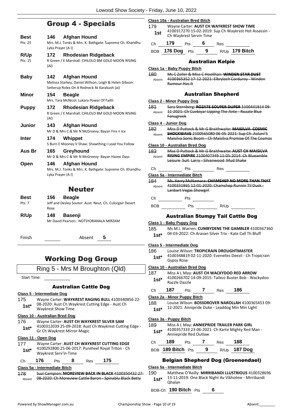# Group 4 - Specials

| Best                       | 146<br><b>Afghan Hound</b>                                                                                                           |
|----------------------------|--------------------------------------------------------------------------------------------------------------------------------------|
| Pts: 25                    | Mrs. M.J. Tonks & Mrs. K. Bathgate: Supreme Ch. Khandhu<br>Lyka Prayer (A I)                                                         |
| <b>R/Up</b>                | <b>Rhodesian Ridgeback</b><br>172                                                                                                    |
| Pts: 15                    | R Green / E Marshall: CHILOLO BM GOLD MOON RISING<br>(AI)                                                                            |
| <b>Baby</b>                | <b>Afghan Hound</b><br>142<br>Melissa Starkey, Daniel Willson, Leigh & Helen Gibson:<br>Setterup Rolex On A Redneck At Karakush (ai) |
| <b>Minor</b>               | 154<br><b>Beagle</b><br>Mrs. Tara McNicol: Lukara Power Of Faith                                                                     |
| <b>Puppy</b>               | 172<br>Rhodesian Ridgeback<br>R Green / E Marshall: CHILOLO BM GOLD MOON RISING<br>(AI)                                              |
| <b>Junior</b>              | 143<br><b>Afghan Hound</b><br>Mr D & Mrs C & Mr N McGreevy: Bayan Fire n Ice                                                         |
| Inter                      | 174<br>Whippet<br>S Burn E Mooney V Shaw: Shawthing I Lead You Follow                                                                |
| Aus Br                     | Greyhound<br>165<br>Mr D & Mrs C & Mr N McGreevy: Bayan Hazee Days                                                                   |
| Open                       | 146<br><b>Afghan Hound</b><br>Mrs. M.J. Tonks & Mrs. K. Bathgate: Supreme Ch. Khandhu<br>Lyka Prayer (AI)                            |
|                            | <b>Neuter</b>                                                                                                                        |
| Best                       | 156<br><b>Beagle</b>                                                                                                                 |
| Pts: 7                     | Jeff and Desley Souter: Aust. Neut. Ch. Culorgair Desert<br>Rose                                                                     |
| R/Up                       | 148<br>Basenji<br>Mr David Pearson.: NOTSYORANALA MIRZAM                                                                             |
| Finish                     | 5<br>Absent                                                                                                                          |
|                            | <b>Working Dog Group</b>                                                                                                             |
|                            | Ring 5 - Mrs M Broughton (Qld)                                                                                                       |
| <b>Start Time:</b>         |                                                                                                                                      |
|                            | <b>Australian Cattle Dog</b>                                                                                                         |
| Class 5 - Intermediate Dog |                                                                                                                                      |
| 175                        | Wayne Carter: WAYKREST RAGING BULL 4100340856 22-                                                                                    |
| $1e+1$                     | 08-2020: Aust Ch Waykrest Cutting Edge - Aust Ch                                                                                     |

# Waykrest Show Time **1st\***

#### **Class 10 - Australian Bred Dog**

- 176 Wayne Carter: **AUST CH WAYKREST SILVER SAM** 4100312039 25-09-2018: Aust Ch Waykrest Cutting Edge -
- Gr Ch Waykrest Mirror Magic **1st\***

#### **Class 11 - Open Dog**

177 Wayne Carter: **AUST CH WAYKREST CUTTING EDGE** 4100292800 25-06-2017: Pureheel Royal Triton - Ch Waykrest Serv'in Time **1st\***

### Ch **176** Pts **8** Res **175**

#### **Class 5a - Intermediate Bitch**

178 Suzi Campion: **MOREVIEW BACK IN BLACK** 4100350432 27- Absent 08-2020: Ch Moreview Cattle Baron - Spinablu Black Betty

#### **Class 10a - Australian Bred Bitch**

179 Wayne Carter: **AUST CH WAYKREST SHOW TIME** 4100317270 15-02-2019: Sup Ch Waykrest Hot Assassin - **1st** <sup>4100517270 15-02-2019</sup>

| Ch | 179               | <b>Pts</b> | - 6 | Res |                  |
|----|-------------------|------------|-----|-----|------------------|
|    | BOB 176 Dog Pts 9 |            |     |     | $R/Up$ 179 Bitch |

#### Australian Kelpie

#### **Class 1a - Baby Puppy Bitch** 180 Ms C Zeller & Miss C Hoolihan: **WINDEN STAR DUST** 4100365352 17-12-2021: Elbrylach Corduroy - Winden Rumour Has It Absent Australian Shepherd **Class 2 - Minor Puppy Dog** 181 Sara Sternberg: **ROZATE SOUPER DUPER** 3100441814 09- 11-2021: Ch Cuebiyar Upping The Ante - Rozate Blue Fenugreek Absent **Class 4 - Junior Dog** 182 Miss D Puttock & Mr G Braithwaite: **MAISILVA COSMIC SHOCKWAVE** 2100565080 06-05-2021: Sup Ch .Aolani'S Maisilva Sonic Boom - Ch Maisilva Promise Of The Cosmos Absent **Class 10 - Australian Bred Dog** 183 Miss D Puttock & Mr G Braithwaite: **AUST CH MAISILVA RISING EMPIRE** 2100407349 11-05-2014: Ch Blueamble Leisure Suit Larry - Silvanwood Mud Shake Absent Ch Pts Res **Class 5a - Intermediate Bitch** 184 Ms. Kerry McNamara: **CHAMSHEP NO MORE THAN THAT** 4100331865 12-01-2020: Chamshep Runnin Til Dusk - Lanbart Vegas Showgirl Absent Ch Pts BOB Pts R/Up Australian Stumpy Tail Cattle Dog

#### **Class 1 - Baby Puppy Dog**

| 185 | Ms M.I. Warren: CUMBYDENE THE GAMBLER 4100367360       |
|-----|--------------------------------------------------------|
|     | 04-03-2022: Ch Aravan Silver Trix - Kate Call Th Bluff |

#### **1st**\* 04-03-2022: Ch Aravan Silver Trix - Kate Call Th Bluf

#### **Class 5 - Intermediate Dog**

| 186    | Louise Wilson: TROPICRAIN DROUGHTMASTER                 |
|--------|---------------------------------------------------------|
| $1st*$ | 4100348819 02-11-2020: Evenelles Deezil - Ch Tropicrain |
|        | Gypsy Rose                                              |

#### **Class 10 - Australian Bred Dog**

187 Miss A L May: **AUST CH WACKYDOO RED ARROW** 4100266702 14-09-2015: Tailezz Buster Bob - Wackydoo Razzle Dazzle **1st\***

# Ch **187** Pts **7** Res **186**

#### **Class 2a - Minor Puppy Bitch**

188 Louise Wilson: **BOSSDROVER NAROLLAH** 4100365453 09- 1st\* 12-2021: Annipride Duke - Leaddog Min Min Light

#### **Class 3a - Puppy Bitch**

#### 189 Miss A L May: **ANNIEPRIDE TRAILER PARK GIRL**

4100357333 23-06-2021: Ch Karte Mighty Red Man - Anniepride Red Outlaw **1st\***

| Ch. | 189               | <b>Pts</b> |   | Res | 188                     |
|-----|-------------------|------------|---|-----|-------------------------|
|     | BOB 189 Bitch Pts |            | 9 |     | <sub>R/Up</sub> 187 Dog |

#### Belgian Shepherd Dog (Groenendael)

#### **Class 5a - Intermediate Bitch**

#### 190 Matthew O'Reilly: **MIRRIBANDI LLUSTRIOUS** 4100328696 13-11-2019: One Black Night Av Vikholme - Mirribandi Qhalan **1st\***

BOB-Ch **190 Bitch** Pts **6**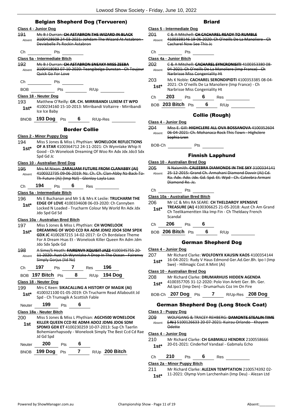|             | Class 4 - Junior Dog                                                                        | Class 5 - Intermediate Dog                                                                                                   |
|-------------|---------------------------------------------------------------------------------------------|------------------------------------------------------------------------------------------------------------------------------|
| <b>191</b>  | Ms B J Durran: CH ASTABRON THE WIZARD IN BLACK                                              | <b>C &amp; A Mitchell: CH CACHAREL READY TO RUMBLE</b><br>201                                                                |
| Absent      | 3100428609 24-03-2021: Johdam The Wizard At Astabron -<br>Deviebelle Ps Rockin Astabron     | 4100338146 19-06-2020: Ch O'neills De La Manoliere - Ch<br>Absent<br>Cacharel Now See This Jc                                |
| Ch          | Pts                                                                                         | Сh<br><b>Pts</b>                                                                                                             |
|             | Class 5a - Intermediate Bitch                                                               | Class 4a - Junior Bitch                                                                                                      |
| 192         | Ms B J Durran: CH ASTABRON SNEAKY MISS ZEEBA                                                | 202<br>C & A Mitchell: CACHAREL SYNCRONISITI 4100353380 08-                                                                  |
| Absent      | 3100418083 07 10 2020: Teangibelge Dunstan Ch Toujour<br>Quick Go For Love                  | 04-2021: Ch O'neills De La Manoliere (Imp France) Ch<br>Absent<br>Narbrisse Miss Congeniality Ht                             |
|             | Ch Pts                                                                                      | 203<br>Ms K Noble: CACHAREL SERONDIPIDTI 4100353385 08-04-<br>2021: Ch O'neills De La Manoliere (Imp France) - Ch            |
| BOB.        |                                                                                             | $1st*$<br>Narbrisse Miss Congeniality Ht                                                                                     |
|             | Class 18 - Neuter Dog                                                                       | Ch 203 Pts 6 Res                                                                                                             |
| 193         | Matthew O'Reilly: GR. CH. MIRRIBANDI LUXEM ET WPD                                           |                                                                                                                              |
| $1st^*$     | 4100234160 15-10-2013: Mirribandi Voltairre - Mirribandi<br>Ice Ice Baby                    | BOB 203 Bitch Pts 6 R/Up                                                                                                     |
|             | BNOB 193 Dog Pts 6 R/Up-Res                                                                 | <b>Collie (Rough)</b>                                                                                                        |
|             |                                                                                             | Class 4 - Junior Dog                                                                                                         |
|             | <b>Border Collie</b>                                                                        | 204<br>Miss E. Gill: HIGHCLERE ALL OVA BOSSANOVA 4100352604<br>06-04-2021: Ch. Mohanaca Rock This Town - Highclere<br>Absent |
| 194         | Class 2 - Minor Puppy Dog<br>Miss S Jones & Miss L Phythian: WONELOOK REFLECTIONS           | Sophia Lren                                                                                                                  |
| $1st^*$     | OF A STAR 4100364712 24-11-2021: Ch Wynnlake Whip It                                        | BOB-Ch Pts                                                                                                                   |
|             | Good - Ch Wonelook Dreaming Of Woo Rn Adx Jdx Jdo3 Sdx<br>Spd Gd Jc                         | <b>Finnish Lapphund</b>                                                                                                      |
|             | Class 10 - Australian Bred Dog                                                              | Class 10 - Australian Bred Dog                                                                                               |
| 195         | Mrs M Nixon: ZARALIAM FUTURE FROM CLANABBY (AI)                                             | 205<br>N Naismith: CALEEBRA DIAMONDS IN THE SKY 3100334141                                                                   |
| Absent      | 4100322735 09-06-2019: Nz. Ch. Ch. Clan-Abby Nz-Back-To-                                    | 25-12-2015: Grand Ch. Armahani Diamond Dawir (Ai) Cd.<br>Absent                                                              |
|             | Th-Future (Ai) (Imp NzI) - Glenloy Layla Lass                                               | Ra. Adx. Ado. Jdx. Gd. Spd. Et. Wpd - Ch. Caleebra Armani                                                                    |
| Ch          | 194<br>$6$ Res $\qquad$<br>Pts                                                              | Diamond Re. Jc.                                                                                                              |
|             | Class 5a - Intermediate Bitch                                                               | Ch<br>Pts                                                                                                                    |
| 196         | Ms E Buchanan and Mr S & Mrs K Leslie: TRUCHARM THE                                         | Class 10a - Australian Bred Bitch                                                                                            |
| $1st*$      | EDGE OF LOVE 4100334608 06-03-2020: Ch Cannyben                                             | 206<br>Mr LC & Mrs RA SEARE: CH THELDAROY XPENSIVE                                                                           |
|             | Locked N Loaded - Trucharm Colour My World Rn Adx Jdx<br>Jdo Spd Gd Sd                      | TREASURE (AI) 4100306625 21-05-2018: Aust Ch Am Grand<br>$1st*$<br>Ch Teelikamentten Iika Imp Fin - Ch Theldaoy French       |
|             | Class 10a - Australian Bred Bitch                                                           | Scandal                                                                                                                      |
| 197         | Miss S Jones & Miss L Phythian: CH WONELOOK                                                 | 206<br>6<br>Pts<br>Ch                                                                                                        |
| $1st*$      | DREAMING OF WOO CCD RA ADM JDM2 JDO4 SDM SPDX                                               | BOB 206 Bitch Pts 6<br>R/Up                                                                                                  |
|             | GDX JC 4100287215 14-02-2017: Gr Ch Bordalace Theme                                         |                                                                                                                              |
|             | For A Dream Hsas Et - Wonelook Killer Queen Rn Adm Jdm<br>Jdo Sdx Spdx Gd                   | <b>German Shepherd Dog</b>                                                                                                   |
| 198         | A Sime/S Heath: FAIRENVY XQUISIT JAZZ 4100345755 20-                                        | Class 4 - Junior Dog                                                                                                         |
| Absent      | 11-2020: Aust Ch Wynnlake A Drop In The Ocean Fairenvy                                      | 207<br>Mr Richard Clarke: WOLFONYX KAUSIN KAOS 4100354144                                                                    |
|             | Simply Gorjus (lid Nz)                                                                      | 16-04-2021: Rudy V Haus Edmond Ger.Ad.Ger.Bh. Ipo I (Imp<br>$1st*$<br>Swe) - Hillmagic Cost A Mint (Ai)                      |
| Ch          | 197<br>196<br>Pts<br>7<br>Res                                                               |                                                                                                                              |
|             | 8<br>R/Up 194 Dog<br>BOB 197 Bitch Pts                                                      | Class 10 - Australian Bred Dog<br>208<br>Mr Richard Clarke: DRUMARHUIS HIDDEN AGENDA                                         |
|             | Class 18 - Neuter Dog                                                                       | 4100357705 31-12-2020: Polo Von Arlett Ger. Bh. Ger.<br>$1st^*$                                                              |
| 199         | Mrs C Keen: SIKACALLING A HISTORY OF MAGIK (AI)                                             | Ad.Ipo1 (Imp Den) - Drumarhuis Coz Im On Fire                                                                                |
| $1st*$      | 4100321100 01-05-2019: Ch Trucharm Read Allaboutit Jd<br>Spd - Ch Trumagik A Scottish Fable | BOB-Ch 207 Dog Pts 7 R/Up-Res 208 Dog                                                                                        |
| Neuter      | 199<br>6<br>Pts                                                                             | <b>German Shepherd Dog (Long Stock Coat)</b>                                                                                 |
|             | Class 18a - Neuter Bitch                                                                    | Class 3 - Puppy Dog                                                                                                          |
| 200         | Miss S Jones & Miss L Phythian: AGCH500 WONELOOK                                            | 209<br>WOLFGANG & TRACEY REHBERG: DAMONTE STEALIN TIME                                                                       |
| 1st         | KILLER QUEEN CCD RE ADM4 ADO2 JDM6 JDO6 SDM                                                 | (AI) 5100126633 20-07-2021: Kuirau Orlando - Khayem<br>Absent                                                                |
|             | SPDM3 GDX ET 4100230259 10-07-2013: Sup Ch Taerlin                                          | <b>Odette</b>                                                                                                                |
|             | Bohemianrhapsody - Wonelook Simply The Best Ccd Cd Rae<br>Jd Gd Spd                         | Class 4 - Junior Dog                                                                                                         |
|             |                                                                                             | 210<br>Mr Richard Clarke: CH GABMALU HENDRIX 2100558666                                                                      |
| Neuter      | 200<br>6<br>Pts                                                                             | 20-01-2021: Cinderhof Vandaal - Gabmalu Echo<br>$1st*$                                                                       |
| <b>BNOB</b> | 7<br>R/Up 200 Bitch<br>199 Dog<br>Pts                                                       |                                                                                                                              |
|             |                                                                                             | 210<br>6<br>Ch<br>Pts<br>Res                                                                                                 |

**Class 2a - Minor Puppy Bitch**

211 Mr Richard Clarke: **ALEZAN TEMPTATION** 2100574392 02- 1st\* 11-2021: Olymp Vom Larchenhain (Imp Deu) - Alezan Ltd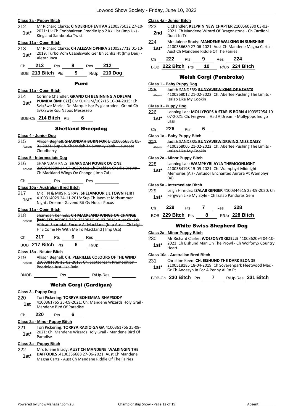#### **Class 3a - Puppy Bitch**

- 212 Mr Richard Clarke: **CINDERHOF EVITAA** 2100575032 27-10- 2021: Uk Ch Conbhairean Freddie Ipo 2 Kkl Lbz (Imp Uk) -
- **1st**\* 2021. OK CH CONDITATE RIT

#### **Class 11a - Open Bitch**

213 Mr Richard Clarke: **CH ALEZAN OPHIRA** 2100527712 01-10- 2019: Turbo Vom Casselswald Ger Bh Schh3 Ht (Imp Deu) - Alezan Inca **1st\***

| د. ا<br>Сh<br>o<br>ເວ<br> | 40<br>◢<br>es |
|---------------------------|---------------|
|---------------------------|---------------|

BOB **213 Bitch** Pts **9** R/Up **210 Dog**

#### Pumi

#### **Class 11a - Open Bitch**

214 Corinne Chandler: **GRAND CH BEGINNING A DREAM PUMIDA (IMP CZE)** CMKU/PUM/102/15 10-04-2015: Ch Svk/Swe Mariell De Marque Isar Fylgiabroder - Grand Ch Svk/Swe/Rou Napos Meseszep **1st\***

#### BOB-Ch **214 Bitch** Pts **6**

#### Shetland Sheepdog

#### **Class 4 - Junior Dog**

215 Allison Begnell: **SHARNDAH BURN FOR U** 2100556571 05- 01-2021: Sup Ch. Sharndah Th Swanky Yank - Laureate Cloudberry Absent

#### **Class 5 - Intermediate Dog**

216 SHARNDAH KNLS: **SHARNDAH POWER OV ONE** 2100543880 24-07-2020: Sup Ch Sheldon Charlie Brown - Ch Mackland Wings Ov Change ( Imp Zaf) Absent

## Ch Pts Res

**Class 10a - Australian Bred Bitch** 217 MR T N & MRS R G RAY: **SHELAMOUR LIL TOWN FLIRT** 4100314029 24-11-2018: Sup Ch Jaemist Midsummer Nights Dream - Gavend Bit Ov Hocus Pocus **1st\***

#### **Class 11a - Open Bitch**

| 218    | Sharndah Kennels: CH MACKLAND WINGS OV CHANGE             |
|--------|-----------------------------------------------------------|
| Absent | (IMP STH AFRICA ZA012712B16 19 07 2016: Aust Ch. Sth      |
|        | African Sharndah Encore At Mackland (Imp Aust - Ch Leigh- |
|        | Hi'S Come Fly With Me To Mackland (Imp Usa)               |
|        |                                                           |

Ch **217** Pts **6** Res

BOB **217 Bitch** Pts **6** R/Up

#### **Class 18a - Neuter Bitch**

219 Allison Begnell: **CH. PEERIELEE COLOURS OF THE WIND** 2100381106 12-03-2013: Ch. Scotsdream Premonition - Peerielee Just Like Rain Absent

BNOB Pts R/Up-Res

#### Welsh Corgi (Cardigan)

#### **Class 3 - Puppy Dog**

#### 220 Tori Pickering: **TORRYA BOHEMIAN RHAPSODY**

4100361765 25-09-2021: Ch. Mandene Wizards Holy Grail - Mandene Bird Of Paradise **1st**

#### Ch **220** Pts **6**

#### **Class 2a - Minor Puppy Bitch**

221 Tori Pickering: **TORRYA RADIO GA GA** 4100361766 25-09- 2021: Ch. Mandene Wizards Holy Grail - Mandene Bird Of Paradise **1st\***

#### **Class 3a - Puppy Bitch**

- 222 Mrs Julene Brady: **AUST CH MANDENE WALKINGIN THE DAFFODILS** .4100356688 27-06-2021: Aust Ch Mandene Magna Carta - Aust Ch Mandene Riddle Of The Fairies **1st\***
	-

#### **Class 4a - Junior Bitch**

- 223 C Chandler: **KELPRIN NEW CHAPTER** 2100560830 03-02- 2021: Ch Mandene Wizard Of Dragonstone - Ch Cardioni **2nd Dunit In Tri Dunit In Tri**
- 224 Mrs Julene Brady: **MANDENE WALKING IN SUNSHINE** 4100356689 27-06-2021: Aust Ch Mandene Magna Carta - **1st** 4100356689 27-06-2021: Aust Ch Mandene Riddle Of The Fairies

| Ch | 222               | <b>Pts</b> |      | Res | 224              |
|----|-------------------|------------|------|-----|------------------|
|    | BOB 222 Bitch Pts |            | - 10 |     | $R/Up$ 224 Bitch |

#### Welsh Corgi (Pembroke)

#### **Class 1 - Baby Puppy Dog**

- 225 Judith SANDERS: **BUNYAVIEW KING OF HEARTS**
- 4100368012 21-02-2022: Ch. Aberlee Pushing The Limits Izalab Like My Cookin Absent

#### **Class 3 - Puppy Dog**

- 226 Lanning Lan: **MOLLYPOPS A STAR IS BORN** 4100357954 10- 07-2021: Ch. Fergwyn I Had A Dream - Mollypops Indigo Lass **1st\***
- Ch **226** Pts **6**

#### **Class 1a - Baby Puppy Bitch**

227 Judith SANDERS: **BUNYAVIEW DRIVING MISS DAISY** 4100368005 21-02-2022: Ch. Aberlee Pushing The Limits - Absent

#### Izalab Like My Cookin **Class 2a - Minor Puppy Bitch**

- 228 Lanning Lan: **WAMPHYRI AYLA THEMOONLIGHT**
- 4100364198 15-09-2021: Ch. Wamphyri Midnight Memories (Ai) - Antudor Enchanted Aurora At Wamphyri (Ai) **1st\***

#### **Class 5a - Intermediate Bitch**

229 Leigh Hinricks: **IZALAB GINGER** 4100344615 25-09-2020: Ch 1st\* Fergwyn Like My Style - Ch Izalab Pandoras Gem

| C | <br>$-$ | __ | $\sim$ |
|---|---------|----|--------|
|   |         |    |        |

BOB **229 Bitch** Pts **8** R/Up **228 Bitch**

#### White Swiss Shepherd Dog

#### **Class 2a - Minor Puppy Bitch**

230 Mr Richard Clarke: **WOLFONYX GIZELLE** 4100362094 04-10- 2021: Ch Eishund Man On The Prowl - Ch Wolfonyx Country 1st<sup>\*</sup> <sup>2021:</sup><br>Heart

#### **Class 10a - Australian Bred Bitch**

231 Christine Keen: **CH. EISHUND THE DARK BLONDE** 2100518185 18-04-2019: Ch Soverenpark Fleetwood Mac - **1st** 2100518185 18-04-2019: Ch Soverenp<br>Gr Ch Andesyn In For A Penny Ai Rn Et

BOB-Ch **230 Bitch** Pts **7** R/Up-Res **231 Bitch**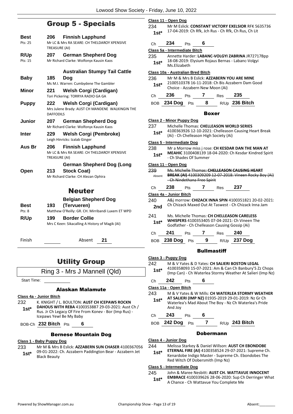# Group 5 - Specials

| Best    | 206              | <b>Finnish Lapphund</b>                         |
|---------|------------------|-------------------------------------------------|
| Pts: 25 | TREASURE (AI)    | Mr LC & Mrs RA SEARE: CH THELDAROY XPENSIVE     |
| R/Up    | 207              | German Shepherd Dog                             |
| Pts: 15 |                  | Mr Richard Clarke: Wolfonyx Kausin Kaos         |
|         |                  | <b>Australian Stumpy Tail Cattle</b>            |
| Baby    | 185              | Doq                                             |
|         |                  | Ms M.I. Warren: Cumbydene The Gambler           |
| Minor   | 221              | Welsh Corgi (Cardigan)                          |
|         |                  | Tori Pickering: TORRYA RADIO GA GA              |
| Puppy   | 222              | <b>Welsh Corgi (Cardigan)</b>                   |
|         |                  | Mrs Julene Brady: AUST CH MANDENE WALKINGIN THE |
|         | <b>DAFFODILS</b> |                                                 |
| Junior  | 207              | German Shepherd Dog                             |
|         |                  | Mr Richard Clarke: Wolfonyx Kausin Kaos         |
| Inter   | 229.             | <b>Welsh Corgi (Pembroke)</b>                   |
|         |                  | Leigh Hinricks: Izalab Ginger                   |
| Aus Br  | 206              | <b>Finnish Lapphund</b>                         |
|         |                  | Mr LC & Mrs RA SEARE: CH THELDAROY XPENSIVE     |
|         | TREASURE (AI)    |                                                 |
|         |                  | <b>German Shepherd Dog (Long</b>                |
| Open    | 213              | <b>Stock Coat)</b>                              |
|         |                  | Mr Richard Clarke: CH Alezan Ophira             |
|         |                  | Neuter                                          |
|         |                  |                                                 |

#### **Best 193 Belgian Shepherd Dog (Tervueren)** Pts: 8 Matthew O'Reilly: GR. CH. Mirribandi Luxem ET WPD **R/Up 199 Border Collie** Mrs C Keen: Sikacalling A History of Magik (AI)

Finish Absent **21**

# Utility Group

Ring 3 - Mrs J Mannell (Qld)

Start Time:

#### Alaskan Malamute

**Class 4a - Junior Bitch**

232 K. KNIGHT / L. BOULTON: **AUST CH ICEPAWS ROCKN DAHOUS WITH REBA** 4100353887 29-03-2021: Aust Ch / Rus. Jr Ch Legacy Of Fire From Konev - Bor (Imp Rus) - Icepaws Yewl Be My Baby **1st\***

BOB-Ch **232 Bitch** Pts **6**

#### Bernese Mountain Dog

#### **Class 1 - Baby Puppy Dog**

233 Mr M & Mrs B Eslick: **AZZABERN SUN CHASER** 4100367056 09-01-2022: Ch. Azzabern Paddington Bear - Azzabern Jet **1st**\* 09-01-2022: **1**<br>Black Beauty

|         | <u>Class 11 - Open Dog</u>        |                                 |   |                                        |                                                               |  |
|---------|-----------------------------------|---------------------------------|---|----------------------------------------|---------------------------------------------------------------|--|
| 234     |                                   |                                 |   |                                        | Mr M Eslick: CONSTANT VICTORY EXELSIOR RFK 5635736            |  |
| $1st^*$ |                                   |                                 |   |                                        | 17-04-2019: Ch Rfk, Jch Rus - Ch Rfk, Ch Rus, Ch Lit          |  |
|         |                                   |                                 |   |                                        |                                                               |  |
| Ch      | 234                               | <b>Pts</b>                      | 6 |                                        |                                                               |  |
|         | Class 5a - Intermediate Bitch     |                                 |   |                                        |                                                               |  |
| 235     |                                   |                                 |   |                                        | Annette Harder: LABANC-VOLGYI ZABRINA JR72717Bpp              |  |
| $1st^*$ | Ms.Elizabeth                      |                                 |   |                                        | 18-08-2019: Elysium Rojaus Bernas - Labanc-Volgyi             |  |
|         | Class 10a - Australian Bred Bitch |                                 |   |                                        |                                                               |  |
| 236 -   |                                   |                                 |   |                                        | Mr M & Mrs B Eslick: AZZABERN YOU ARE MINE                    |  |
| 1st*    |                                   |                                 |   |                                        | 2100510378 16-11-2018: Ch Bis Azzabern Dam Good               |  |
|         |                                   | Choice - Azzabern New Moon (Ai) |   |                                        |                                                               |  |
| Ch      | 236                               | Pts 7                           |   | $\frac{1}{2}$ Res 235                  |                                                               |  |
|         | BOB 234 Dog Pts                   |                                 | 8 |                                        | R/Up 236 Bitch                                                |  |
|         | Boxer                             |                                 |   |                                        |                                                               |  |
|         | Class 2 - Minor Puppy Dog         |                                 |   |                                        |                                                               |  |
| 237     |                                   |                                 |   |                                        | Michelle Thomas: CHELLEASON WORLD SERIES                      |  |
| 1st*    |                                   |                                 |   | (Ai) - Ch Chelleason High Society (Ai) | 4100363926 12-10-2021: Chelleason Causing Heart Break         |  |
|         | <u>Class 5 - Intermediate Dog</u> |                                 |   |                                        |                                                               |  |
| 238     |                                   |                                 |   |                                        | Mr a Morrow miss j rose: CH KESDAR DAN THE MAN AT             |  |
| 1st*    |                                   | - Ch Shades Of Summer           |   |                                        | <b>MEAHIC 3100408139 18-04-2020: Ch Kesdar Kindred Spirit</b> |  |
|         | Class 11 - Open Dog               |                                 |   |                                        |                                                               |  |
| 239     |                                   |                                 |   |                                        | Ms. Michelle Thomas: CHELLEASON CAUSING HEART                 |  |
| Absent  |                                   |                                 |   |                                        | BREAK (AI) 4100309209 12-07-2018: Vineen Rocky Boy (Ai)       |  |
|         |                                   | - Ch Nindethana Free Spirit     |   |                                        |                                                               |  |
| Ch      | 238                               | <b>Pts</b>                      |   | $7$ Res 237                            |                                                               |  |
|         | <u> Class 4a - Junior Bitch</u>   |                                 |   |                                        |                                                               |  |
| 240     |                                   |                                 |   |                                        | A&j morrow: CHIZACK INNA SPIN 4100351821 20-02-2021:          |  |
| 2nd     |                                   |                                 |   |                                        | Ch Chizack Maxed Out At Taswest - Ch Chizack Inna Jam         |  |
| 241     |                                   |                                 |   |                                        | Ms. Michelle Thomas: CH CHELLEASON CARELESS                   |  |
| $1st^*$ |                                   |                                 |   |                                        | WHISPERS 4100353405 07-04-2021: Ch Vineen The                 |  |
|         |                                   |                                 |   |                                        | Godfather - Ch Chelleason Causing Gossip (Ai)                 |  |
| Ch      | 241                               | Pts                             | 7 | Res                                    | 240                                                           |  |
|         | BOB 238 Dog Pts                   |                                 | 9 |                                        | R/Up 237 Dog                                                  |  |
|         |                                   |                                 |   |                                        |                                                               |  |

#### **Bullmastiff**

|               | Class 3 - Puppy Dog    |     |   |      |                                                                                                                                                                       |
|---------------|------------------------|-----|---|------|-----------------------------------------------------------------------------------------------------------------------------------------------------------------------|
| 242<br>$1st*$ |                        |     |   |      | M & V Yates & D Yates: CH SALIERI BOSTON LEGAL<br>4100358093 15-07-2021: Am & Can Ch Banbury'S Zz Chops<br>(Imp Can) - Ch Waterlea Stormy Weather At Salieri (Imp Nz) |
| Ch            | 242                    | Pts | 6 |      |                                                                                                                                                                       |
|               | Class 11a - Open Bitch |     |   |      |                                                                                                                                                                       |
| 243<br>$1st*$ | And Joy                |     |   |      | M & V Yates & W Mills: CH WATERLEA STORMY WEATHER<br>AT SALIERI (IMP NZ) 01935-2019 29-01-2019: Nz Gr Ch<br>Waterlea's Mad About The Boy - Nz Ch Waterlea's Pride     |
| Ch            | 243                    | Pts | 6 |      |                                                                                                                                                                       |
| BOB           | 242 Dog                | Pts |   | R/Up | 243 Bitch                                                                                                                                                             |

#### Dobermann

**Class 4 - Junior Dog**

- 244 Melissa Starkey & Daniel Willson: **AUST CH EBONDOBE** 
	- **ETERNAL FIRE (AI)** 4100358524 29-07-2021: Supreme Ch. Kenardobe Indigo Master - Supreme Ch. Ebondobes The Red Witch Of Dobersmith (Imp Nz) **1st\***

#### **Class 5 - Intermediate Dog**

245 John & Maree Nesbitt: **AUST CH. WATTAVUE INNOCENT** 

**EMBRACE** 4100339626 28-06-2020: Sup Ch Derringer What A Chance - Ch Wattavue You Complete Me **1st\***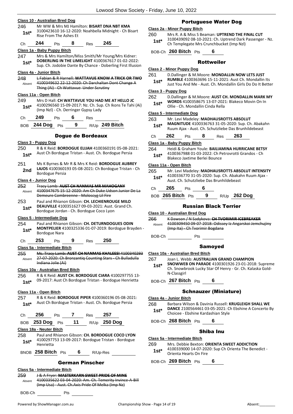| 246           |                                   |                        |            |                                          | Mr WW & Mrs MJ Hamilton: BISART DNA NBT KMA                                                                  |                                                                                                                  | Class 2a - Minor Puppy Bitch                    |                                                                                                |     |     | <b>Portuguese Wat</b>                                                                           |
|---------------|-----------------------------------|------------------------|------------|------------------------------------------|--------------------------------------------------------------------------------------------------------------|------------------------------------------------------------------------------------------------------------------|-------------------------------------------------|------------------------------------------------------------------------------------------------|-----|-----|-------------------------------------------------------------------------------------------------|
| $1st*$        |                                   | Rise From The Ashes Et |            |                                          | 3100423610 16-12-2020: Noahbella Midnight - Ch Bisart                                                        |                                                                                                                  | 260                                             | Mrs R. A & Miss S Beaman: UPT                                                                  |     |     |                                                                                                 |
| Ch            | 244                               | Pts                    | 8          | <b>Res</b>                               | 245                                                                                                          |                                                                                                                  | $1st^*$                                         | 3100439092 08-10-2021: Ch. Up<br>Ch Templegate Mrs Crunchbuck                                  |     |     |                                                                                                 |
|               | Class 1a - Baby Puppy Bitch       |                        |            |                                          |                                                                                                              |                                                                                                                  |                                                 | BOB-Ch 260 Bitch Pts                                                                           |     |     | 6                                                                                               |
| 247<br>$1st*$ |                                   |                        |            |                                          | Mrs & Mrs Hamilton/Miss Smith/Mr Young/Mrs Kidner:                                                           | DOBERLING IN THE LIMELIGHT 4100367617 01-02-2022:<br>Sup. Ch. Jodobie Dante By Chance - Doberling First Illusion |                                                 |                                                                                                |     |     | <b>Rottweiler</b>                                                                               |
|               | Class 4a - Junior Bitch           |                        |            |                                          |                                                                                                              |                                                                                                                  | Class 2 - Minor Puppy Dog                       |                                                                                                |     |     |                                                                                                 |
| 248<br>Absent |                                   |                        |            |                                          | 4100349632 22-12-2020: Ch Darchaltan Dont Change A                                                           | L Fabian & R Harnell: WATTAVUE KNOW A TRICK OR TWO                                                               | 261<br>$1st*$                                   | D.Dallinger & M.Moore: MOND.<br>RUMBLE 4100363696 15-11-202<br>Just You And Me - Aust. Ch. Mor |     |     |                                                                                                 |
|               |                                   |                        |            | Thing (Ai) Ch Wattavue Under Scrutiny    |                                                                                                              |                                                                                                                  | Class 3 - Puppy Dog                             |                                                                                                |     |     |                                                                                                 |
| 249           | Class 11a - Open Bitch            |                        |            |                                          | Mrs D Hall: CH WATTAVUE YOU HAD ME AT HELLO JC                                                               |                                                                                                                  | 262                                             | D.Dallinger & M.Moore: AUST C                                                                  |     |     |                                                                                                 |
| $1st*$        |                                   |                        |            | (Imp Nzl) - Ch. Derringer Gypsy Lady     |                                                                                                              | 4100296560 15-09-2017: Nz. Ch. Sup. Ch Ikons Te Tahi (Ai)                                                        | $1st*$<br><b>Class 5 - Intermediate Dog</b>     | WORDS 4100358675 13-07-202<br>Ollie - Ch. Mondallin Cinda Rella                                |     |     |                                                                                                 |
| Ch            | 249                               | Pts                    | 6          | Res                                      |                                                                                                              |                                                                                                                  | 263                                             | Mr. Levi Madeley: MADHAUSRO                                                                    |     |     |                                                                                                 |
| <b>BOB</b>    | 244 Dog Pts                       |                        | 9          |                                          | R/Up 249 Bitch                                                                                               |                                                                                                                  | $1st*$                                          | MAGNITUDE 4100336763 31-05<br>Ruum Ajax - Aust. Ch. Schutzlieb                                 |     |     |                                                                                                 |
|               |                                   |                        |            | <b>Dogue de Bordeaux</b>                 |                                                                                                              |                                                                                                                  | Ch                                              | 262                                                                                            | Pts | 8   | Res                                                                                             |
|               | Class 3 - Puppy Dog               |                        |            |                                          |                                                                                                              |                                                                                                                  | Class 1a - Baby Puppy Bitch                     |                                                                                                |     |     |                                                                                                 |
| 250<br>$1st*$ |                                   |                        |            |                                          | Aust Ch Bordogue Tristan - Aust. Ch. Bordogue Persia                                                         | R & K Reid: <b>BORDOGUE ELIJAH</b> 4100360191 05-08-2021:                                                        | 264<br>$1st*$                                   |                                                                                                |     |     | Heidi & Graham Youle: BAILIAM<br>4100367988 01-03-2022: Ch Pet<br>Blakeco Jaxtime Berlei Bounce |
| 251           |                                   |                        |            |                                          | Ms K Byrnes & Mr R & Mrs K Reid: BORDOGUE AUBREY                                                             |                                                                                                                  | Class 11a - Open Bitch                          |                                                                                                |     |     |                                                                                                 |
| 2nd           |                                   | <b>Bordogue Persia</b> |            |                                          |                                                                                                              | LAJOS 4100360193 05-08-2021: Ch Bordogue Tristan - Ch                                                            | 265                                             | Mr. Levi Madeley: MADHAUSRO                                                                    |     |     |                                                                                                 |
|               | Class 4 - Junior Dog              |                        |            |                                          |                                                                                                              |                                                                                                                  | $1st*$                                          | 4100336770 31-05-2020: Sup. C<br>Aust. Ch. Schutzliebe Das Brunh                               |     |     |                                                                                                 |
| 252           |                                   |                        |            |                                          | Tracy Lamb: AUST CH NANMAS MR MAHOGANY                                                                       |                                                                                                                  |                                                 |                                                                                                |     |     |                                                                                                 |
| Absent        |                                   |                        |            |                                          |                                                                                                              | 4100347675 15-12-2020: Am Ch Duke Udson Junior De La                                                             | Ch                                              | 265                                                                                            | Pts | 6   |                                                                                                 |
|               |                                   |                        |            | Demeure Combreenne - Moloscyg Lil Fire   |                                                                                                              |                                                                                                                  |                                                 | BOB 265 Bitch Pts                                                                              |     |     | 9<br>R/                                                                                         |
| 253           |                                   |                        |            |                                          | Paul and Rhianon Gibson: CH. LECHIENROUGE MILO<br><b>DEAUVILLE 4100351627 09-03-2021: Aust. Grand Ch.</b>    |                                                                                                                  |                                                 |                                                                                                |     |     | <b>Russian Black 1</b>                                                                          |
| $1st^*$       |                                   |                        |            | Bordogue Jordan - Ch. Bordogue Coco Lyon |                                                                                                              |                                                                                                                  | Class 10 - Australian Bred Dog                  |                                                                                                |     |     |                                                                                                 |
|               | Class 5 - Intermediate Dog        |                        |            |                                          |                                                                                                              |                                                                                                                  | 266                                             | K Dawson / N Sadykova: CH TVC                                                                  |     |     |                                                                                                 |
| 254           |                                   |                        |            |                                          | Paul and Rhianon Gibson: CH. DETURNDOGUES ODIN                                                               | MONTPELIER 4100325336 01-07-2019: Bordogue Brayden -                                                             | Absent                                          | 4100309450 09-07-2018; Odisse<br>(Imp Ita) Ch Tvorimir Bogdana                                 |     |     |                                                                                                 |
| $1st*$        |                                   | <b>Bordogue Nara</b>   |            |                                          |                                                                                                              |                                                                                                                  | BOB-Ch                                          |                                                                                                |     | Pts |                                                                                                 |
| Ch            | 253                               | Pts                    | 9          | Res                                      | 250                                                                                                          |                                                                                                                  |                                                 |                                                                                                |     |     | <b>Samoyed</b>                                                                                  |
| 255           | Class 5a - Intermediate Bitch     |                        |            |                                          |                                                                                                              | Ms. Tracy Lamb: AUST CH NANMAS KHALEESI 4100340293                                                               | Class 10a - Australian Bred Bitch               |                                                                                                |     |     |                                                                                                 |
| Absent        |                                   | Indiana Jolie (Ai)     |            |                                          |                                                                                                              | 27-07-2020: Ch Bronzantiq Counting Stars - Ch Bulladulla                                                         | 267<br>$1st*$                                   | Joan L. Webb: AUSTRALIAN GR/<br><b>SNOWWEB ON PARADE 410030</b>                                |     |     |                                                                                                 |
| 256           | Class 10a - Australian Bred Bitch |                        |            |                                          |                                                                                                              | R & K Reid: AUST CH. BORDOGUE CIARA 4100297755 13-                                                               |                                                 | Ch. Snowbrook Lucky Star Of He<br>N-Classgirl                                                  |     |     |                                                                                                 |
| $1st*$        |                                   |                        |            |                                          |                                                                                                              | 09-2017: Aust Ch Bordogue Tristan - Bordogue Henrietta                                                           |                                                 | BOB-Ch 267 Bitch Pts                                                                           |     |     | 6                                                                                               |
|               | Class 11a - Open Bitch            |                        |            |                                          |                                                                                                              |                                                                                                                  |                                                 |                                                                                                |     |     | <b>Schnauzer (Mini</b>                                                                          |
| 257           |                                   |                        |            |                                          | R & K Reid: <b>BORDOGUE PIPER</b> 4100360196 05-08-2021:                                                     |                                                                                                                  | Class 4a - Junior Bitch                         |                                                                                                |     |     |                                                                                                 |
| $1st^*$       |                                   |                        |            |                                          | Aust Ch Bordogue Tristan - Aust. Ch. Bordogue Persia                                                         |                                                                                                                  | 268<br>$1st*$                                   | Barbara Wilson & Davinia Russe<br>DANCE 2100564461 03-05-2021                                  |     |     |                                                                                                 |
|               |                                   |                        | Pts 7 Res  |                                          | 257                                                                                                          |                                                                                                                  |                                                 | Choicee - Ebshine Kardashian St                                                                |     |     |                                                                                                 |
| Ch            | 256                               |                        |            |                                          | 253 Dog Pts 11 R/Up 250 Dog                                                                                  |                                                                                                                  |                                                 | BOB-Ch 268 Bitch Pts                                                                           |     |     | 6                                                                                               |
| <b>BOB</b>    |                                   |                        |            |                                          |                                                                                                              |                                                                                                                  |                                                 |                                                                                                |     |     |                                                                                                 |
|               | Class 18a - Neuter Bitch          |                        |            |                                          |                                                                                                              |                                                                                                                  |                                                 |                                                                                                |     |     |                                                                                                 |
|               |                                   |                        |            |                                          | Paul and Rhianon Gibson: CH. BORDOGUE COCO LYON                                                              |                                                                                                                  |                                                 |                                                                                                |     |     |                                                                                                 |
| $1st^*$       | Henrietta                         |                        |            |                                          | 4100297753 13-09-2017: Bordogue Tristan - Bordogue                                                           |                                                                                                                  | Class 5a - Intermediate Bitch<br>269<br>$1st^*$ | 4100339000 14-07-2020: Sup Cl                                                                  |     |     |                                                                                                 |
| 258           |                                   |                        |            | BNOB 258 Bitch Pts 6 R/Up-Res            |                                                                                                              |                                                                                                                  |                                                 | Orienta Hearts On Fire                                                                         |     |     | Shiba Inu<br>Mrs. Debbie Bexton: ORIENTA S                                                      |
|               |                                   |                        |            | <b>German Pinscher</b>                   |                                                                                                              |                                                                                                                  |                                                 | BOB-Ch 269 Bitch Pts                                                                           |     |     | 6                                                                                               |
|               | Class 5a - Intermediate Bitch     |                        |            |                                          |                                                                                                              |                                                                                                                  |                                                 |                                                                                                |     |     |                                                                                                 |
| 259<br>Absent |                                   |                        |            |                                          | <b>J &amp; A Fryer: MASTERKARN SWEET PRIDE OF MINE</b><br>(Imp Usa) - Aust. Ch. Axis Pride Of Melka (Imp Nz) | 4100335622 03-04-2020: Am. Ch. Temerity Invince-A-Bill                                                           |                                                 |                                                                                                |     |     |                                                                                                 |
| BOB-Ch        |                                   |                        | <b>Pts</b> |                                          |                                                                                                              |                                                                                                                  |                                                 |                                                                                                |     |     |                                                                                                 |

#### **Nater Dog**

**UPTREND THE FINAL CUT** 1.<br>Th. Uptrend Dark Passenger - Nz. **bucket (Imp Nzl)** 

#### eiler

**ONDALLIN NOW LETS JUST** 1-2021: Aust Ch. Mondallin Its

**Mondallin Girls Do Do It Better** 

262 D.Dallinger & M.Moore: **AUST CH. MONDALLIN MARK MY** 

7-2021: Blakeco Movin On In<br>Rella

USROTTS ABSOLUT

- **MAGNITUDE** 4100336763 31-05-2020: Sup. Ch. Abakahn tzliebe Das Brunhildebeast
- Ch **262** Pts **8** Res **263**

**LIAMINA HURRICANE BETSY** <sup>2</sup>h Petrovrotti Grandos - Ch<br>nce

- 265 Mr. Levi Madeley: **MADHAUSROTTS ABSOLUT INTENSITY** up. Ch. Abakahn Ruum Ajax -Aust. Ch. Schutzliebe Das Brunhildebeast **1st\***
	- BOB **265 Bitch** Pts **9** R/Up **262 Dog**

#### ck Terrier

266 K Dawson / N Sadykova: **CH TVORIMIR ICEBREAKER** )dissey Iz Angarskoi Jemchujiny dana i

#### red

#### **V GRAND CHAMPION**

**SNOWWEB ON PARADE** 4100301926 23-01-2018: Supreme Of Henry - Gr. Ch. Kalaska Gold-

#### Miniature)

**Russell: KRUGLEIGH SHALL WE** -2021: Ch Ebshine A Concerto By an Style

#### Inu

**NTA SWEET ADDICTION** 

up Ch Orienta The Benedict -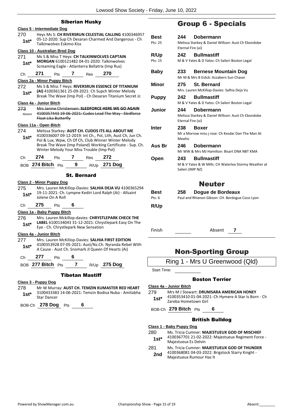#### Siberian Husky

|                                       |                   |                                                                                   |                    | Siberian Husky                            |                                                                                                                   |  |
|---------------------------------------|-------------------|-----------------------------------------------------------------------------------|--------------------|-------------------------------------------|-------------------------------------------------------------------------------------------------------------------|--|
| Class 5 - Intermediate Dog            |                   |                                                                                   |                    |                                           |                                                                                                                   |  |
| 270                                   |                   |                                                                                   |                    |                                           | Heys Ms S: CH RIVERSRUN CELESTIAL CALLING 4100346957                                                              |  |
| $1st^*$                               |                   | 05-12-2020: Sup Ch Desaran Charmed And Dangerous - Ch<br>Talkinwolves Eskimo Kiss |                    |                                           |                                                                                                                   |  |
| <b>Class 10 - Australian Bred Dog</b> |                   |                                                                                   |                    |                                           |                                                                                                                   |  |
| 271                                   |                   |                                                                                   |                    |                                           | Ms S & Miss T Heys: CH TALKINWOLVES CAPTAIN                                                                       |  |
| 1st*                                  |                   |                                                                                   |                    |                                           | MORGAN 6100121482 04-01-2020: Talkinwolves<br>Screaming Eagle - Atlanterra Bellatrix (Imp Rus)                    |  |
| Сh                                    | 271               | Pts                                                                               | 7                  | Res                                       | 270                                                                                                               |  |
| Class 2a - Minor Puppy Bitch          |                   |                                                                                   |                    |                                           |                                                                                                                   |  |
| 272                                   |                   |                                                                                   |                    |                                           | Ms S & Miss T Heys: RIVERSRUN ESSENCE OF TITANIUM                                                                 |  |
| $1st^*$                               |                   |                                                                                   |                    |                                           | (AI) 4100361361 25-09-2021: Ch Supch Winter Melody<br>Break The Wave (Imp Pol) - Ch Desaran Titanium Secret Jc    |  |
| Class 4a - Junior Bitch               |                   |                                                                                   |                    |                                           |                                                                                                                   |  |
| 273                                   |                   |                                                                                   |                    |                                           | Mrs Janine Christensen: SLEDFORCE HERE WE GO AGAIN                                                                |  |
| Absent                                |                   | <b>Float Lika Butterfly</b>                                                       |                    |                                           | 4100357443 19-06-2021: Cudos Lead The Way - Sledforce                                                             |  |
| Class 11a - Open Bitch                |                   |                                                                                   |                    |                                           |                                                                                                                   |  |
| 274                                   |                   |                                                                                   |                    |                                           | Melissa Starkey: AUST CH. CUDOS ITS ALL ABOUT ME                                                                  |  |
| $1st^*$                               |                   |                                                                                   |                    |                                           | 4100336007 09-12-2019: Int Ch., Pol, Lith, Aust Ch, Jun Ch.                                                       |  |
|                                       |                   |                                                                                   |                    |                                           | Pol & Lux, Wpw, Ch Of Ch, Club Winner Winter Melody<br>Break The Wave (Imp Poland) Working Certificate - Sup. Ch. |  |
|                                       |                   |                                                                                   |                    | Winter Melody Your Miss Trouble (Imp Pol) |                                                                                                                   |  |
| Ch                                    | 274               | Pts                                                                               | 7                  | Res                                       | 272                                                                                                               |  |
|                                       | BOB 274 Bitch Pts |                                                                                   | 9                  |                                           | R/Up 271 Dog                                                                                                      |  |
|                                       |                   |                                                                                   | <b>St. Bernard</b> |                                           |                                                                                                                   |  |
| <b>Class 2 - Minor Puppy Dog</b>      |                   |                                                                                   |                    |                                           |                                                                                                                   |  |
| 275                                   |                   |                                                                                   |                    |                                           | Mrs. Lauren McKillop-Davies: SALHIA DEJA VU 4100365294                                                            |  |
| $1st*$                                |                   | Jolene On A Roll                                                                  |                    |                                           | 19-11-2021: Ch. Lympne Kediri Lord Ralph (Ai) - Allsaint                                                          |  |
| Сh                                    | 275               | Pts                                                                               | 6                  |                                           |                                                                                                                   |  |
| Class 1a - Baby Puppy Bitch           |                   |                                                                                   |                    |                                           |                                                                                                                   |  |
| 276                                   |                   |                                                                                   |                    |                                           | Mrs. Lauren Mckillop-davies: CHRYSTLEPARK CHECK THE                                                               |  |
| $1st^*$                               |                   |                                                                                   |                    |                                           | LABEL 6100134043 31-12-2021: Chrystlepark Easy On The                                                             |  |
|                                       |                   |                                                                                   |                    | Eye - Ch. Chrystlepark New Sensation      |                                                                                                                   |  |
| Class 4a - Junior Bitch               |                   |                                                                                   |                    |                                           | Mrs. Lauren McKillop-Davies: SALHIA FIRST EDITION                                                                 |  |
| 277.                                  |                   |                                                                                   |                    |                                           | 1st* 4100353928 07-05-2021: Aust/Nz.Ch. Nyranda Rebel With                                                        |  |
|                                       |                   |                                                                                   |                    |                                           | A Cause - Aust Ch. Snomark Jl Queen Of Hearts (Ai)                                                                |  |
| Ch 277                                |                   | $Pts$ 6                                                                           |                    |                                           |                                                                                                                   |  |
|                                       |                   |                                                                                   |                    |                                           | BOB 277 Bitch Pts 7 R/Up 275 Dog                                                                                  |  |
|                                       |                   |                                                                                   |                    | <b>Tibetan Mastiff</b>                    |                                                                                                                   |  |
| Class 3 - Puppy Dog                   |                   |                                                                                   |                    |                                           |                                                                                                                   |  |
|                                       |                   |                                                                                   |                    |                                           | 278 Mr W Murray: ALIST CH TEMZIN KLIMASTER RED HEART                                                              |  |

'EMZIN KUMASTER RE 3100433383 14-06-2021: Temzin Bodiva Nuba - Amitabha **1st**\* <sup>3100433383</sup><br>Star Dancer

BOB-Ch **278 Dog** Pts **6**

# Group 6 - Specials

| <b>Best</b><br>Pts: 25 | Dobermann<br>244<br>Melissa Starkey & Daniel Willson: Aust Ch Ebondobe<br>Eternal Fire (ai)           |
|------------------------|-------------------------------------------------------------------------------------------------------|
| <b>R/Up</b><br>Pts: 15 | <b>Bullmastiff</b><br>242<br>M & V Yates & D Yates: Ch Salieri Boston Legal                           |
| Baby                   | <b>Bernese Mountain Dog</b><br>233<br>Mr M & Mrs B Eslick: Azzabern Sun Chaser                        |
| Minor                  | 275<br><b>St. Bernard</b><br>Mrs. Lauren McKillop-Davies: Salhia Deja Vu                              |
| <b>Puppy</b>           | <b>Bullmastiff</b><br>242<br>M & V Yates & D Yates: Ch Salieri Boston Legal                           |
| Junior                 | 244<br>Dobermann<br>Melissa Starkey & Daniel Willson: Aust Ch Ebondobe<br>Eternal Fire (ai)           |
| Inter                  | 238<br><b>Boxer</b><br>Mr a Morrow miss j rose: Ch Kesdar Dan The Man At<br>Meahic                    |
| Aus Br                 | Dobermann<br>246<br>Mr WW & Mrs MJ Hamilton: Bisart DNA NBT KMA                                       |
| Open                   | <b>Bullmastiff</b><br>243<br>M & V Yates & W Mills: CH Waterlea Stormy Weather at<br>Salieri (IMP NZ) |
|                        | Neuter                                                                                                |

# **Best 258 Dogue de Bordeaux**

| Pts: 6 | Paul and Rhianon Gibson: CH. Bordogue Coco Lyon |
|--------|-------------------------------------------------|
| R/Up   |                                                 |

Finish Absent **7**

# Non-Sporting Group

Ring 1 - Mrs U Greenwood (Qld)

Start Time:

#### Boston Terrier

#### **Class 4a - Junior Bitch**

279 Mrs M J Stewart: **DRUMSARA AMERICAN HONEY** 4100353410 01-04-2021: Ch Hymere A Star Is Born - Ch Zareba Hometown Girl **1st\***

BOB-Ch **279 Bitch** Pts **6**

#### British Bulldog

**Class 1 - Baby Puppy Dog**

- 280 Ms. Tricia Cumner: **MAJESTUEUX GOD OF MISCHIEF**
	- 4100367701 21-02-2022: Majestueux Regiment Force Majestueux Es Delvin **1st\***
- 281 Ms. Tricia Cumner: **MAJESTUEUX GOD OF THUNDER**
	- 4100368081 04-03-2022: Brigstock Starry Knight 2nd <sup>4100368081</sup> 04-03-2022: B<br>Majestueux Rumour Has It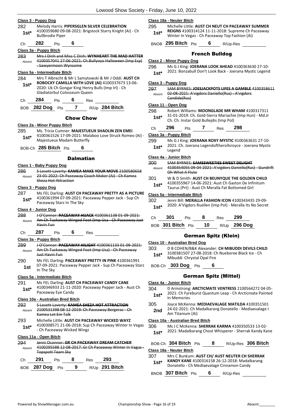#### **Class 3 - Puppy Dog**

| 282 | Melody Harris: PIPERSGLEN SILVER CELEBRATION |
|-----|----------------------------------------------|
|     | $\cdots$                                     |

| $1st*$                 |     | <b>Bullbrodie Piper</b> | 4100359680 09-08-2021: Brigstock Starry Knight (Ai) - Ch |
|------------------------|-----|-------------------------|----------------------------------------------------------|
| Сh                     | 282 | Pts                     |                                                          |
| Class 3a - Puppy Bitch |     |                         |                                                          |
| 283                    |     |                         | Mrs J Dinh and Miss C Dinh: WYNHEART THE MAD HATTER      |
| Absent                 |     |                         | 4100357041 27-06-2021: Ch.Bullyoyo Halloween (Imp Esp)   |
|                        |     | Sawyermoon Wynsome      |                                                          |

#### **Class 5a - Intermediate Bitch**

284 Mrs T Albrecht & Mr L Samytowski & Mr J Oddi: **AUST CH ROBOCKY CAMILLA WITH LOVE (AI)** 4100337673 13-06- 2020: Uk Ch Gongar King Henry Bulls (Imp Irl) - Ch Gladiatorbul Colosseum Queen **1st\***

| 284<br>6<br>Ch.<br>Pts | Res |
|------------------------|-----|
|------------------------|-----|

BOB **282 Dog** Pts **7** R/Up **284 Bitch**

#### Chow Chow

#### **Class 2a - Minor Puppy Bitch**

285 Ms. Tricia Cumner: **MAJESTUEUX SHAOLIN ZEN EMEI** 4100361526 17-09-2021: Malaboo Love Struck Romeo (Ai) - Majestueux Madam Butterfly **1st\***

BOB-Ch **285 Bitch** Pts **6**

#### **Dalmatian**

#### **Class 1 - Baby Puppy Dog**

286 S Lovett-Laverty: **KAMEA MAKE YOUR MOVE** 2100580658 23-01-2022: Ch Paceaway Coach Maker (Ai) - Ch Kamea Sheza Hot Attraction Absent

#### **Class 3 - Puppy Dog**

287 Ms FEL Darling: **AUST CH PACEAWAY PRETTY AS A PICTURE** 4100361994 07-09-2021: Paceaway Pepper Jack - Sup Ch Paceaway Starz In The Sky **1st\***

#### **Class 4 - Junior Dog**

- 288 J O'Connor: **PACEAWAY HIJACK** 4100361138 01-09-2021: Am Ch Tuckaway Winged Foot (Imp Usa - Ch Paceaway Just Havin Fun Absent
- Ch **287** Pts **6** Res

#### **Class 3a - Puppy Bitch**

- 289 J O'Connor: **PACEAWAY HILIGHT** 4100361133 01-09-2021: Am Ch Tuckaway Winged Foot (Imp Usa) - Ch Paceaway Just Havin Fun Absent 290 Ms FEL Darling: **PACEAWAY PRETTY IN PINK** 4100361991
- 07-09-2021: Paceaway Pepper Jack Sup Ch Paceaway Starz **1st** <sup>U</sup><sub>1</sub>-U<sub>9</sub>-2U<sub>4</sub>

#### **Class 5a - Intermediate Bitch**

#### 291 Ms FEL Darling: **AUST CH PACEAWAY CANDY CANE**

4100346933 21-11-2020: Paceaway Pepper Jack - Aust Ch Paceaway Eye Candy **1st\***

#### **Class 10a - Australian Bred Bitch**

- 292 S Lovett-Laverty: **KAMEA SHEZA HOT ATTRACTION** 2100531398 08-12-2019: Ch Paceaway Bergerac - Ch Kamea Let Em Talk Absent
- 293 Michelle Little: **AUST CH PACEAWAY WICKED WAYZ** 4100308571 21-06-2018: Sup Ch Paceaway Winter In Vegas 1st\* 4100308571 21-06-2018: Sup<br>Ch Paceaway Wicked Wingz

#### **Class 11a - Open Bitch**

| 294<br>Absent |     | Topspott Team Sky |     | Jenni Oconnor: GR CH PACEAWAY DREAM CATCHER<br>4100295588 12-08-2017: Gr Ch Paceaway Winter In Vagus - |  |
|---------------|-----|-------------------|-----|--------------------------------------------------------------------------------------------------------|--|
|               | 291 | Pts               | Res | 293                                                                                                    |  |
|               |     |                   |     |                                                                                                        |  |

BOB **287 Dog** Pts **9** R/Up **291 Bitch**

#### **Class 18a - Neuter Bitch**

295 Michelle Little: **AUST CH NEUT CH PACEAWAY SUMMER REIGNS** 4100314124 11-11-2018: Supreme Ch Paceaway Winter In Vegas - Ch Paceaway Top Fashion (Ai) **1st\***

BNOB **295 Bitch** Pts **6** R/Up-Res

French Bulldog

#### **Class 2 - Minor Puppy Dog**

Candide(Rus)

296 Ms G J King: **JOERANA LOOK AHEAD** 4100363630 27-10-

2021: Bonzabull Don't Look Back - Joerana Mystic Legend **1st\***

#### **Class 3 - Puppy Dog**

297 SAM BYRNES: **JOESJACKPOTS LIFES A GAMBLE** 4100358611 02-08-2021: A'vigdors Daniello(Rus) - A'vigdors Absent

#### **Class 11 - Open Dog**

- 298 Robert Williams: **MOONGLADE MR WHAM** 4100317311 31-01-2019: Ch. Gold-Sierra Mariachie (Imp Hun) - Md.Jr Ch. Ch. Instar Gold Bullejdis (Imp Pol) **1st\***
- Ch **296** Pts **7** Res **298**

#### **Class 3a - Puppy Bitch**

- 299 Ms G J King: **JOERANA ROXY MYSTIC** 4100363631 27-10-
- 2021: Ch. Joerana Legendoftherollsroyce Joerana Mystic 1st<sup>\*</sup> <sup>2021: U</sup>

#### **Class 4a - Junior Bitch**

300 SAM BYRNES: **SAMSSWEETIES SWEET DELIGHT** 4100354055 09-04-2021: A'vigdors Daniello(Rus) - Gundrift Oh What A Flute Absent

301 W & D Smith: **AUST CH BEUNYQUE THE GOLDEN CHILD** 4100355967 14-06-2021: Aust Ch Gaston De Infinitum Taurus (Prt) - Aust Ch Meralla Fat Bottomed Girl **1st\***

#### **Class 5a - Intermediate Bitch**

302 Jenni Bill: **MERALLA FASHION ICON** 4100343435 29-09- 2020: A'Vigdors Ruellen (Imp Pol) - Meralla Its No Secret **1st\***

| Ch | - 301                | <b>Pts</b> | - 8 | Res | 299            |
|----|----------------------|------------|-----|-----|----------------|
|    | BOB 301 Bitch Pts 10 |            |     |     | $R/Up$ 296 Dog |

### German Spitz (Klein)

#### **Class 10 - Australian Bred Dog**

- 303 D B COHEN/B&K Alexander: **CH MIBUDDI DEVILS CHILD** 3100381507 27-08-2018: Ch Nueboree Black Ice - Ch 1st\* 3100381507 27-08-2018: C<br>Mibuddi Chrystal Opal Fire
- BOB-Ch **303 Dog** Pts **6**

#### German Spitz (Mittel)

#### **Class 4a - Junior Bitch**

- 304 D Armstrong: **ARCTICMATE VENTRESS** 2100564272 04-05- 2021: Ch Fyreburst Quantum Leap - Ch Arcticmate Painted **1st**\* <sup>2021: Ch Fyr</sup><br>In Memories
- 305 Joyce McKenna: **MEDIAEVALAGE MATILDA** 4100351501 24-02-2021: Ch Madalkarang Donatello - Mediaevalage I **2nd** <sup>24-02-2021: Ch N</sup><br>Am Titanium (Ai)

#### **Class 10a - Australian Bred Bitch**

- 306 Ms J C McKenna: **SHERRAK KARMA** 4100350533 13-02-
- 1st\* 2021: Madalkarang Chost Whisperer Sherrak Kandy Kane

|               | BOB-Ch 304 Bitch Pts                                                                                                                         | 8 |          | R/Up-Res 306 Bitch |
|---------------|----------------------------------------------------------------------------------------------------------------------------------------------|---|----------|--------------------|
|               | Class 18a - Neuter Bitch                                                                                                                     |   |          |                    |
| 307<br>$1st*$ | Mrs C Bunkum: AUST CH/ AUST NEUTER CH SHERRAK<br>KANDY KANE 4100316158 26-12-2018: Madalkarang<br>Donatello - Ch Mediaevalage Cinnamon Candy |   |          |                    |
|               | BNOB 307 Bitch Pts                                                                                                                           | 6 | R/Up-Res |                    |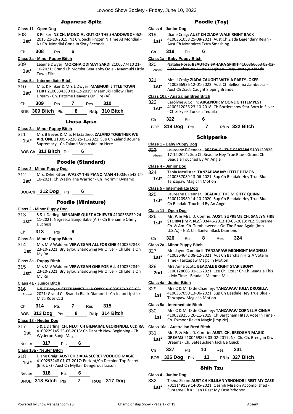#### Japanese Spitz

#### **Class 11 - Open Dog**

308 K Pinker: **NZ CH. MONDIAL OUT OF THE SHADOWS** 07062- 2015 21-10-2015: Nz Ch. Sachi Frozen N Time At Mondial - 1st\* 2015 21-10-2015: Nz Ch. Sachi Frozen<br>**1st\*** Nz Ch. Mondial Gone In Sixty Seconds

#### Ch **308** Pts **6**

#### **Class 2a - Minor Puppy Bitch**

309 Leanne Dwyer: **MORSHA ODIMAY SARDI** 2100577410 21- 10-2021: Grand Ch Morsha Beauabby Odie - Maemuki Little **1st**\*  $\frac{10-2021:0}{\text{Tom filter}}$ 

#### **Class 5a - Intermediate Bitch**

310 Miss K Pinker & Mrs L Dwyer: **MAEMUKI LITTLE TOWN FLIRT** 2100534380 01-12-2019: Maemuki Follow That **1st\* PLIRT** 2100534380 01-12-2019: Maemuki<br>Dream - Ch. Patome Heavens On Fire (Ai)

| Ch | 309 | Pts |  | <b>Res</b> | 310 |
|----|-----|-----|--|------------|-----|
|----|-----|-----|--|------------|-----|

BOB **309 Bitch** Pts **8** R/Up **310 Bitch**

#### Lhasa Apso

#### **Class 2a - Minor Puppy Bitch**

- 311 Mrs B Beves & Miss N Estatheo: **ZALAND TOGETHER WE ARE ONE** 2100575226 25-11-2021: Sup Ch Zaland Bourne **1st\*** ARE ONE 2100575226 25-11-2021: Sup Ch<br>Supremacy - Ch Zaland Step Aside Im Here
- BOB-Ch **311 Bitch** Pts **6**

#### Poodle (Standard)

#### **Class 2 - Minor Puppy Dog**

312 Mrs. Kylie Ritter: **WAZKY THE PIANO MAN** 4100363542 14- 10-2021: Ch Wazky The Warrior - Ch Tvorimir Dynamo **1st\***

#### BOB-Ch **312 Dog** Pts **6**

#### Poodle (Miniature)

#### **Class 2 - Minor Puppy Dog**

- 313 S & L Darling: **BIENAIME QUIET ACHIEVER** 4100363839 24- 11-2021: Negresca Banjo Babe (Ai) - Ch Bienaime Ohmy Duchess **1st\***
- Ch **313** Pts **6**

#### **Class 2a - Minor Puppy Bitch**

314 Mrs M V Waldon: **VERWEGAN ALL FOR ONE** 4100362848 23-10-2021: Bryleylou Shadowing Mr Oliver - Ch Lilella Oh 1st <sup>23-10-</sup><br>My Rn

#### **Class 3a - Puppy Bitch**

- 315 Mrs M V Waldon: **VERWEGAN ONE FOR ALL** 4100362849 23-10-2021: Bryleylou Shadowing Mr Oliver - Ch Lilella Oh
- **1st**\*  $\frac{23-10}{My}$  Rn

#### **Class 4a - Junior Bitch**

316 S & T Dreyer: **STETRAMIST LILA ONYX** 4100351743 02-02- 2021: Grand Ch Byanda Black Diamond - Ch Jeabo Lipstick Misti Rose Ccd Absent

| 314<br>Ch<br>?ts<br>ĸes | 315 |
|-------------------------|-----|
|-------------------------|-----|

| BOB 313 Dog Pts |  | $R/Up$ 314 Bitch |
|-----------------|--|------------------|
|                 |  |                  |

#### **Class 18 - Neuter Dog**

317 S & L Darling: **CH, NEUT CH BIENAIME GLORFINDEL CCD,RA** 4100229145 23-06-2013: Ch Danrith New Beginning - Ch 1st 4100229145<br>Wyderon Banjo Magic

# Neuter **317** Pts **6**

#### **Class 18a - Neuter Bitch**

318 Diane Craig: **AUST CH ZIADA SECRET VOODOO MAGIC** 4100293248 01-07-2017: End/Int/Ch Dechine Top Secret (Imk Uk) - Aust Ch Myflair Dangerous Liason **1st\***

| Neuter | 318                | P <sub>ts</sub> |  |              |
|--------|--------------------|-----------------|--|--------------|
|        | BNOB 318 Bitch Pts |                 |  | R/Up 317 Dog |

#### Poodle (Toy)

#### **Class 4 - Junior Dog**

- 319 Diane Craig: **AUST CH ZIADA WALK RIGHT BACK** 4100361058 25-08-2021: Aust Ch Ziada Legendary Reign - 1st\* 4100361058 25-08-2021: Aust Ch Aust Ch Montaires Extra Smashing
- Ch **319** Pts **6**

#### **Class 1a - Baby Puppy Bitch**

320 Natalie Rose: **BEAUTOY SAHARA SPIRIT** 4100366653 02-02- Absent 2022: Calamura Mista Magician - Paquitastoys Mandy

- 321 Mrs J Craig: **ZIADA CAUGHT WITH A PARTY JOKER**
- 4100366936 12-01-2022: Aust Ch Bellissima Zambucca **1st** 4100366936 12-01-2022: Aust Ch Bell<br>Aust Ch Ziada Caught Sipping Brandy

#### **Class 10a - Australian Bred Bitch**

- 322 Carolyne A Collin: **ARGENOIR MOONLIGHTTEMPEST** 4100312056 23-10-2018: Ch Bordershow Star Born In Silver 1st<sup>\*</sup> 4100312056 23-10-2018: Ch Silkyelk Turkish Tequila
- Ch **322** Pts **6**
- BOB **319 Dog** Pts **7** R/Up **322 Bitch**

#### Schipperke

#### **Class 1 - Baby Puppy Dog**

323 Laureene E Renner.: **BEADALE I THE CAPTAIN** 5100129825 17-12-2021: Sup Ch Beadale Hey True Blue - Grand Ch **Beadale Touched By An Angle** Absent

#### **Class 4 - Junior Dog**

- 324 Tania McAlister: **TANZAPAW MY LITTLE DEMON**
	- 4100357089 13-06-2021: Sup Ch Beadale Hey True Blue 1st\* 4100357089 13-06-2021: St<br>Tanzapaw Magic In Motion

#### **Class 5 - Intermediate Dog**

| 325    | Laureene E Renner.: BEADALE THE MIGHTY QUINN          |
|--------|-------------------------------------------------------|
| $1st*$ | 5100120989 14-10-2020: Sup Ch Beadale Hey True Blue - |
|        | Ch Beadale Touched By An Angel                        |

#### **Class 11 - Open Dog**

- 326 Mr. P. & Mrs. D. Comrie: **AUST. SUPREME CH. SANLYN FIRE** 
	- **STORM (IMP. N.Z.)** 03446-2013 19-05-2013: N.Z. Supreme Ch. & Am. Ch. Tumbleweed's On The Road Again (Imp. U.S.A.) - N.Z. Ch. Sanlyn Black Diamond **1st\***

#### Ch **326** Pts **8** Res **324**

#### **Class 2a - Minor Puppy Bitch**

- 327 Mrs Jayne Campbell: **TANZAPAW MIDNIGHT MADNESS**
- 4100364642 08-12-2021: Aus Ch Barchain Hits A Vote In **1st**\* 4100364642 08-12-2021: Aus Crite<br>Time - Tanzapaw Magic In Motion
- 328 Mrs Anne Scott: **BEADALE BRIGHT STAR EBONY**
- 5100128605 01-11-2021: Cze Ch. Cze Jr Ch Ch Beadale This **2nd** 5100128605 01-11-2021: Cze Cn. C<br>Is My Time - Beadale Mamma Mia

#### **Class 4a - Junior Bitch**

- 329 Mrs C & Mr D de Chaeney: **TANZAPAW JULIA DRUSILLA**
	- 4100357090 13-06-2021: Sup Ch Beadale Hey True Blue 1st 4100357090 13-06-2021: 5t<br>Tanzapaw Magic In Motion

#### **Class 5a - Intermediate Bitch**

- 330 Mrs C & Mr D de Chaeney: **TANZAPAW CORNELIA CINNA**
- 4100329255 20-11-2019: Ch.Bargchain Hits A Vote In Time 1st 4100329255 20-11-2019: Ch. Barge<br>Ch. Exmoor Raven Magic (Imp Nz)

#### **Class 10a - Australian Bred Bitch**

331 Mr. P. & Mrs. D. Comrie: **AUST. CH. BREOGAN MAGIC DREAMS** 2100469895 03-02-2017: Nz. Ch. Ch. Breogan Kiwi 1st\* **DREAMS** 2100469895 03-02-2017: NZ. C<br>Dreams - Ch. Bateauchien Jack Be Quick

| Ch 327 Pts 10 Res 331 |  |                                   |
|-----------------------|--|-----------------------------------|
|                       |  | BOB 326 Dog Pts 13 R/Up 327 Bitch |

#### Shih Tzu

**Class 4 - Junior Dog** 332 Teena Sloan: **AUST CH KILLILAN YRHONOR I REST MY CASE** 7011149139 14-05-2021: Oeshih Mission Accomplished - Supreme Ch Killilan I Rest My Case Yrhonor **1st\***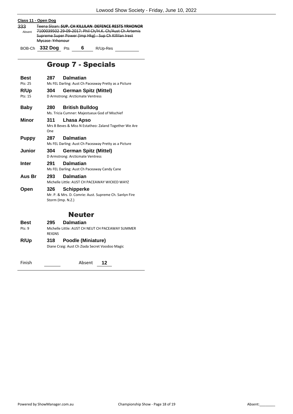#### **Class 11 - Open Dog** 333 Teena Sloan: **SUP. CH KILLILAN DEFENCE RESTS YRHONOR** 7100039502 29-09-2017: Phil Ch/H.K. Ch/Aust Ch Artemis Supreme Super Power (Imp Hkg) - Sup Ch Killilan Irest Mycase Yrhonour Absent BOB-Ch **332 Dog** Pts **6** R/Up-Res

# Group 7 - Specials

| Best                   | 287                      | <b>Dalmatian</b>                                                         |
|------------------------|--------------------------|--------------------------------------------------------------------------|
| Pts: 25                |                          | Ms FEL Darling: Aust Ch Paceaway Pretty as a Picture                     |
| R/Up                   | 304                      | <b>German Spitz (Mittel)</b>                                             |
| $P$ <sup>ts</sup> : 15 |                          | D Armstrong: Arcticmate Ventress                                         |
| Baby                   | 280                      | <b>British Bulldog</b><br>Ms. Tricia Cumner: Majestueux God of Mischief  |
| Minor                  | 311<br>One               | Lhasa Apso<br>Mrs B Beves & Miss N Estatheo: Zaland Together We Are      |
| Puppy                  | 287                      | <b>Dalmatian</b><br>Ms FEL Darling: Aust Ch Paceaway Pretty as a Picture |
| <b>Junior</b>          | 304                      | <b>German Spitz (Mittel)</b><br>D Armstrong: Arcticmate Ventress         |
| Inter                  | 291                      | <b>Dalmatian</b><br>Ms FEL Darling: Aust Ch Paceaway Candy Cane          |
| Aus Br                 | 293                      | <b>Dalmatian</b><br>Michelle Little: AUST CH PACEAWAY WICKED WAYZ        |
| Open                   | 326<br>Storm (Imp. N.Z.) | Schipperke<br>Mr. P. & Mrs. D. Comrie: Aust. Supreme Ch. Sanlyn Fire     |

# Neuter

| Best   | 295           | <b>Dalmatian</b>                                                            |
|--------|---------------|-----------------------------------------------------------------------------|
| Pts: 9 | <b>REIGNS</b> | Michelle Little: AUST CH NEUT CH PACEAWAY SUMMER                            |
| R/Up   | 318           | <b>Poodle (Miniature)</b><br>Diane Craig: Aust Ch Ziada Secret Voodoo Magic |

Finish **12** Absent 12